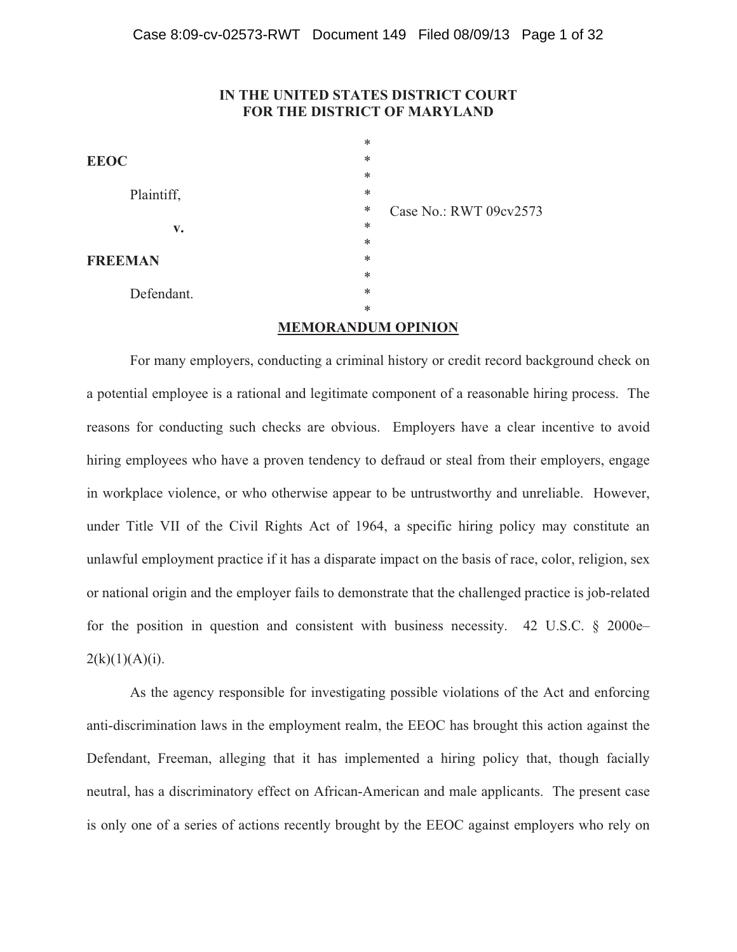## **IN THE UNITED STATES DISTRICT COURT FOR THE DISTRICT OF MARYLAND**

|                        | $\ast$                      |  |
|------------------------|-----------------------------|--|
| <b>EEOC</b>            | $\ast$                      |  |
|                        | $\ast$                      |  |
| Plaintiff,             | $\ast$                      |  |
|                        | ∗<br>Case No.: RWT 09cv2573 |  |
| $\mathbf{v}_{\bullet}$ | $\ast$                      |  |
|                        | $\ast$                      |  |
| <b>FREEMAN</b>         | ∗                           |  |
|                        | $\ast$                      |  |
| Defendant.             | ∗                           |  |
|                        | ∗                           |  |
|                        |                             |  |

### **MEMORANDUM OPINION**

 For many employers, conducting a criminal history or credit record background check on a potential employee is a rational and legitimate component of a reasonable hiring process. The reasons for conducting such checks are obvious. Employers have a clear incentive to avoid hiring employees who have a proven tendency to defraud or steal from their employers, engage in workplace violence, or who otherwise appear to be untrustworthy and unreliable. However, under Title VII of the Civil Rights Act of 1964, a specific hiring policy may constitute an unlawful employment practice if it has a disparate impact on the basis of race, color, religion, sex or national origin and the employer fails to demonstrate that the challenged practice is job-related for the position in question and consistent with business necessity. 42 U.S.C. § 2000e–  $2(k)(1)(A)(i)$ .

 As the agency responsible for investigating possible violations of the Act and enforcing anti-discrimination laws in the employment realm, the EEOC has brought this action against the Defendant, Freeman, alleging that it has implemented a hiring policy that, though facially neutral, has a discriminatory effect on African-American and male applicants. The present case is only one of a series of actions recently brought by the EEOC against employers who rely on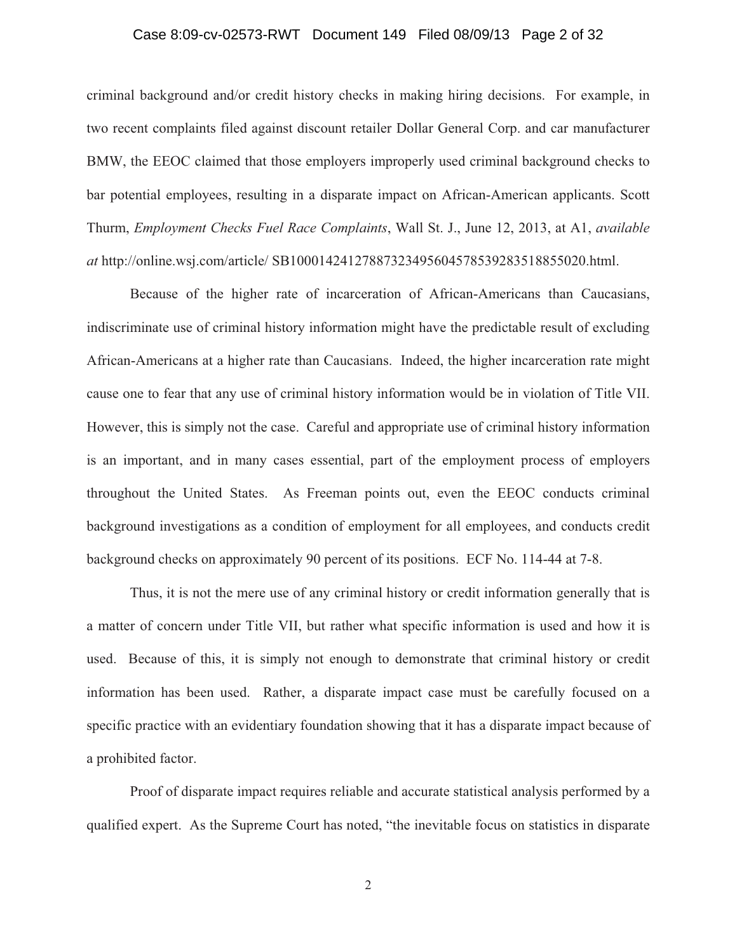## Case 8:09-cv-02573-RWT Document 149 Filed 08/09/13 Page 2 of 32

criminal background and/or credit history checks in making hiring decisions. For example, in two recent complaints filed against discount retailer Dollar General Corp. and car manufacturer BMW, the EEOC claimed that those employers improperly used criminal background checks to bar potential employees, resulting in a disparate impact on African-American applicants. Scott Thurm, *Employment Checks Fuel Race Complaints*, Wall St. J., June 12, 2013, at A1, *available at* http://online.wsj.com/article/ SB10001424127887323495604578539283518855020.html.

 Because of the higher rate of incarceration of African-Americans than Caucasians, indiscriminate use of criminal history information might have the predictable result of excluding African-Americans at a higher rate than Caucasians. Indeed, the higher incarceration rate might cause one to fear that any use of criminal history information would be in violation of Title VII. However, this is simply not the case. Careful and appropriate use of criminal history information is an important, and in many cases essential, part of the employment process of employers throughout the United States. As Freeman points out, even the EEOC conducts criminal background investigations as a condition of employment for all employees, and conducts credit background checks on approximately 90 percent of its positions. ECF No. 114-44 at 7-8.

 Thus, it is not the mere use of any criminal history or credit information generally that is a matter of concern under Title VII, but rather what specific information is used and how it is used. Because of this, it is simply not enough to demonstrate that criminal history or credit information has been used. Rather, a disparate impact case must be carefully focused on a specific practice with an evidentiary foundation showing that it has a disparate impact because of a prohibited factor.

Proof of disparate impact requires reliable and accurate statistical analysis performed by a qualified expert. As the Supreme Court has noted, "the inevitable focus on statistics in disparate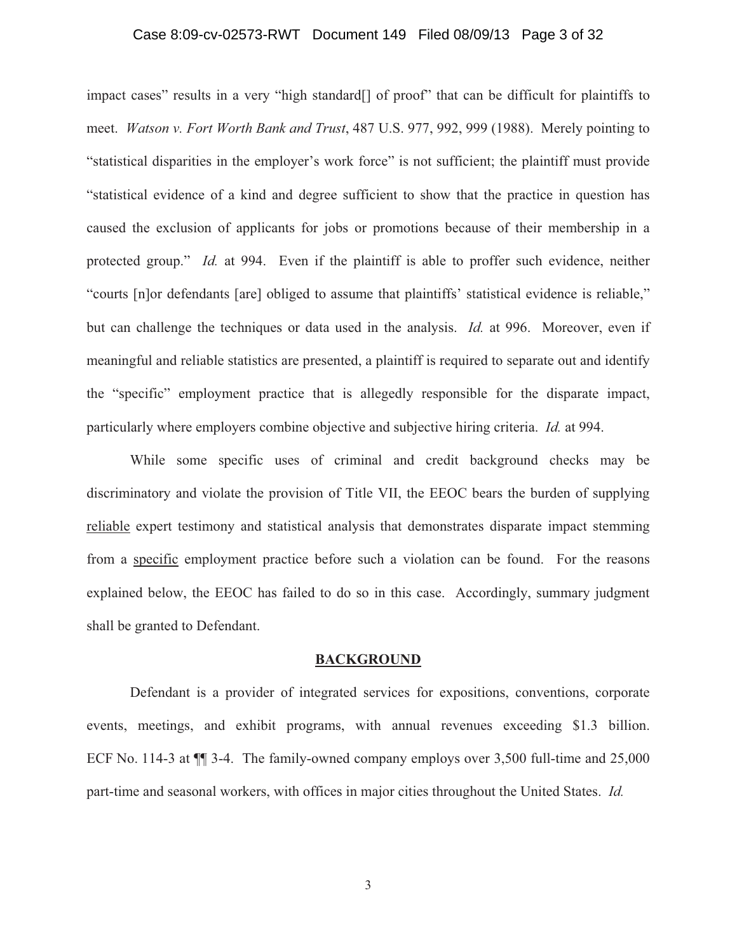## Case 8:09-cv-02573-RWT Document 149 Filed 08/09/13 Page 3 of 32

impact cases" results in a very "high standard[] of proof" that can be difficult for plaintiffs to meet. *Watson v. Fort Worth Bank and Trust*, 487 U.S. 977, 992, 999 (1988). Merely pointing to "statistical disparities in the employer's work force" is not sufficient; the plaintiff must provide "statistical evidence of a kind and degree sufficient to show that the practice in question has caused the exclusion of applicants for jobs or promotions because of their membership in a protected group." *Id.* at 994. Even if the plaintiff is able to proffer such evidence, neither "courts [n]or defendants [are] obliged to assume that plaintiffs' statistical evidence is reliable," but can challenge the techniques or data used in the analysis. *Id.* at 996. Moreover, even if meaningful and reliable statistics are presented, a plaintiff is required to separate out and identify the "specific" employment practice that is allegedly responsible for the disparate impact, particularly where employers combine objective and subjective hiring criteria. *Id.* at 994.

While some specific uses of criminal and credit background checks may be discriminatory and violate the provision of Title VII, the EEOC bears the burden of supplying reliable expert testimony and statistical analysis that demonstrates disparate impact stemming from a specific employment practice before such a violation can be found. For the reasons explained below, the EEOC has failed to do so in this case. Accordingly, summary judgment shall be granted to Defendant.

#### **BACKGROUND**

 Defendant is a provider of integrated services for expositions, conventions, corporate events, meetings, and exhibit programs, with annual revenues exceeding \$1.3 billion. ECF No. 114-3 at ¶¶ 3-4. The family-owned company employs over 3,500 full-time and 25,000 part-time and seasonal workers, with offices in major cities throughout the United States. *Id.*

3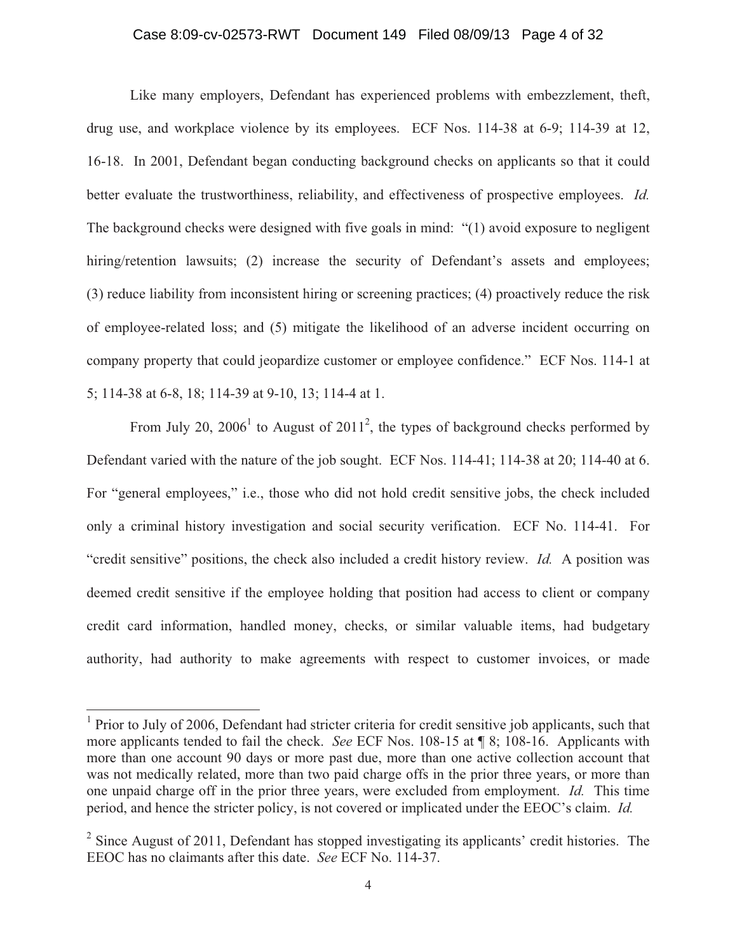## Case 8:09-cv-02573-RWT Document 149 Filed 08/09/13 Page 4 of 32

Like many employers, Defendant has experienced problems with embezzlement, theft, drug use, and workplace violence by its employees. ECF Nos. 114-38 at 6-9; 114-39 at 12, 16-18. In 2001, Defendant began conducting background checks on applicants so that it could better evaluate the trustworthiness, reliability, and effectiveness of prospective employees. *Id.* The background checks were designed with five goals in mind: "(1) avoid exposure to negligent hiring/retention lawsuits; (2) increase the security of Defendant's assets and employees; (3) reduce liability from inconsistent hiring or screening practices; (4) proactively reduce the risk of employee-related loss; and (5) mitigate the likelihood of an adverse incident occurring on company property that could jeopardize customer or employee confidence." ECF Nos. 114-1 at 5; 114-38 at 6-8, 18; 114-39 at 9-10, 13; 114-4 at 1.

From July 20,  $2006<sup>1</sup>$  to August of  $2011<sup>2</sup>$ , the types of background checks performed by Defendant varied with the nature of the job sought. ECF Nos. 114-41; 114-38 at 20; 114-40 at 6. For "general employees," i.e., those who did not hold credit sensitive jobs, the check included only a criminal history investigation and social security verification. ECF No. 114-41. For "credit sensitive" positions, the check also included a credit history review. *Id.* A position was deemed credit sensitive if the employee holding that position had access to client or company credit card information, handled money, checks, or similar valuable items, had budgetary authority, had authority to make agreements with respect to customer invoices, or made

<sup>&</sup>lt;sup>1</sup> Prior to July of 2006, Defendant had stricter criteria for credit sensitive job applicants, such that more applicants tended to fail the check. *See* ECF Nos. 108-15 at ¶ 8; 108-16. Applicants with more than one account 90 days or more past due, more than one active collection account that was not medically related, more than two paid charge offs in the prior three years, or more than one unpaid charge off in the prior three years, were excluded from employment. *Id.* This time period, and hence the stricter policy, is not covered or implicated under the EEOC's claim. *Id.*

 $2^2$  Since August of 2011, Defendant has stopped investigating its applicants' credit histories. The EEOC has no claimants after this date. *See* ECF No. 114-37.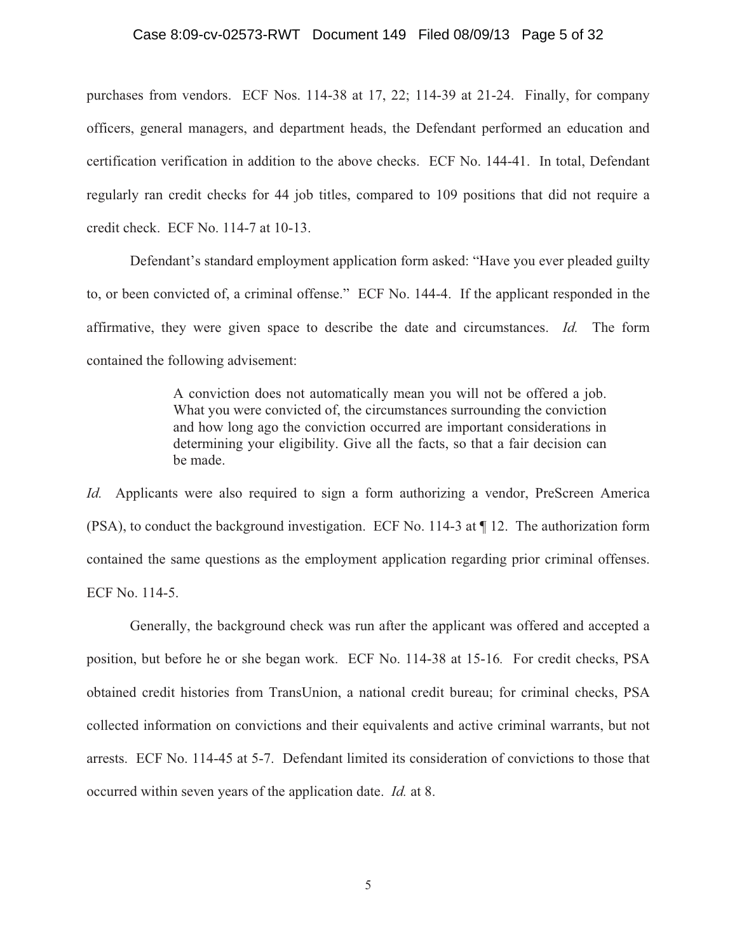#### Case 8:09-cv-02573-RWT Document 149 Filed 08/09/13 Page 5 of 32

purchases from vendors. ECF Nos. 114-38 at 17, 22; 114-39 at 21-24. Finally, for company officers, general managers, and department heads, the Defendant performed an education and certification verification in addition to the above checks. ECF No. 144-41. In total, Defendant regularly ran credit checks for 44 job titles, compared to 109 positions that did not require a credit check. ECF No. 114-7 at 10-13.

 Defendant's standard employment application form asked: "Have you ever pleaded guilty to, or been convicted of, a criminal offense." ECF No. 144-4. If the applicant responded in the affirmative, they were given space to describe the date and circumstances. *Id.* The form contained the following advisement:

> A conviction does not automatically mean you will not be offered a job. What you were convicted of, the circumstances surrounding the conviction and how long ago the conviction occurred are important considerations in determining your eligibility. Give all the facts, so that a fair decision can be made.

*Id.* Applicants were also required to sign a form authorizing a vendor, PreScreen America (PSA), to conduct the background investigation. ECF No. 114-3 at ¶ 12. The authorization form contained the same questions as the employment application regarding prior criminal offenses. ECF No. 114-5.

Generally, the background check was run after the applicant was offered and accepted a position, but before he or she began work. ECF No. 114-38 at 15-16*.* For credit checks, PSA obtained credit histories from TransUnion, a national credit bureau; for criminal checks, PSA collected information on convictions and their equivalents and active criminal warrants, but not arrests. ECF No. 114-45 at 5-7. Defendant limited its consideration of convictions to those that occurred within seven years of the application date. *Id.* at 8.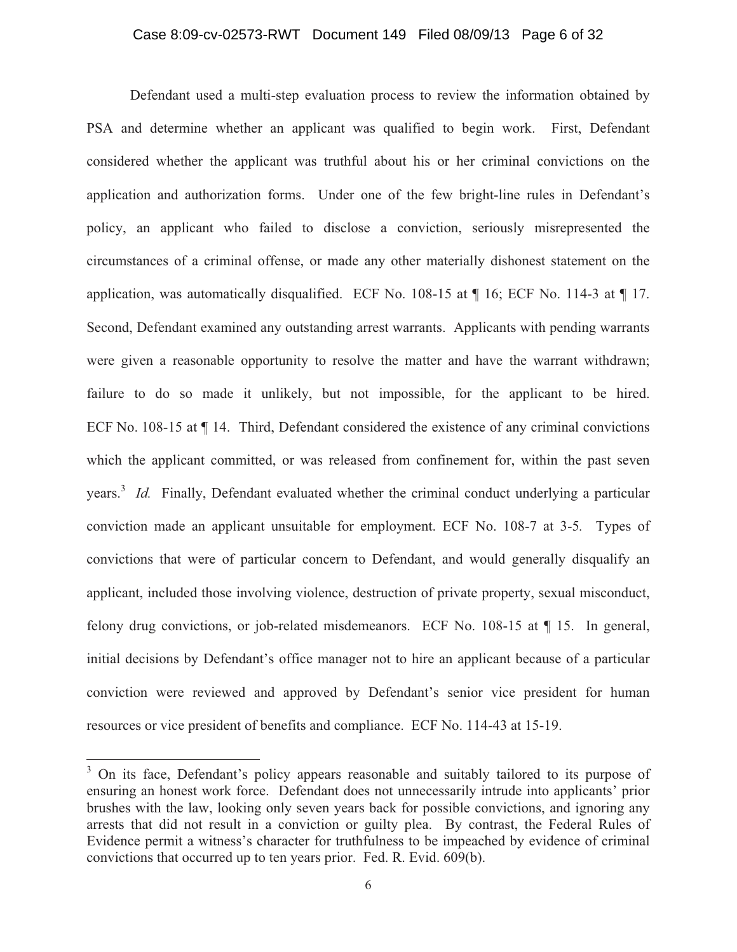## Case 8:09-cv-02573-RWT Document 149 Filed 08/09/13 Page 6 of 32

 Defendant used a multi-step evaluation process to review the information obtained by PSA and determine whether an applicant was qualified to begin work. First, Defendant considered whether the applicant was truthful about his or her criminal convictions on the application and authorization forms. Under one of the few bright-line rules in Defendant's policy, an applicant who failed to disclose a conviction, seriously misrepresented the circumstances of a criminal offense, or made any other materially dishonest statement on the application, was automatically disqualified. ECF No. 108-15 at ¶ 16; ECF No. 114-3 at ¶ 17. Second, Defendant examined any outstanding arrest warrants. Applicants with pending warrants were given a reasonable opportunity to resolve the matter and have the warrant withdrawn; failure to do so made it unlikely, but not impossible, for the applicant to be hired. ECF No. 108-15 at ¶ 14. Third, Defendant considered the existence of any criminal convictions which the applicant committed, or was released from confinement for, within the past seven years.<sup>3</sup> *Id.* Finally, Defendant evaluated whether the criminal conduct underlying a particular conviction made an applicant unsuitable for employment. ECF No. 108-7 at 3-5*.* Types of convictions that were of particular concern to Defendant, and would generally disqualify an applicant, included those involving violence, destruction of private property, sexual misconduct, felony drug convictions, or job-related misdemeanors. ECF No. 108-15 at ¶ 15. In general, initial decisions by Defendant's office manager not to hire an applicant because of a particular conviction were reviewed and approved by Defendant's senior vice president for human resources or vice president of benefits and compliance. ECF No. 114-43 at 15-19.

<sup>&</sup>lt;sup>3</sup> On its face, Defendant's policy appears reasonable and suitably tailored to its purpose of ensuring an honest work force. Defendant does not unnecessarily intrude into applicants' prior brushes with the law, looking only seven years back for possible convictions, and ignoring any arrests that did not result in a conviction or guilty plea. By contrast, the Federal Rules of Evidence permit a witness's character for truthfulness to be impeached by evidence of criminal convictions that occurred up to ten years prior. Fed. R. Evid. 609(b).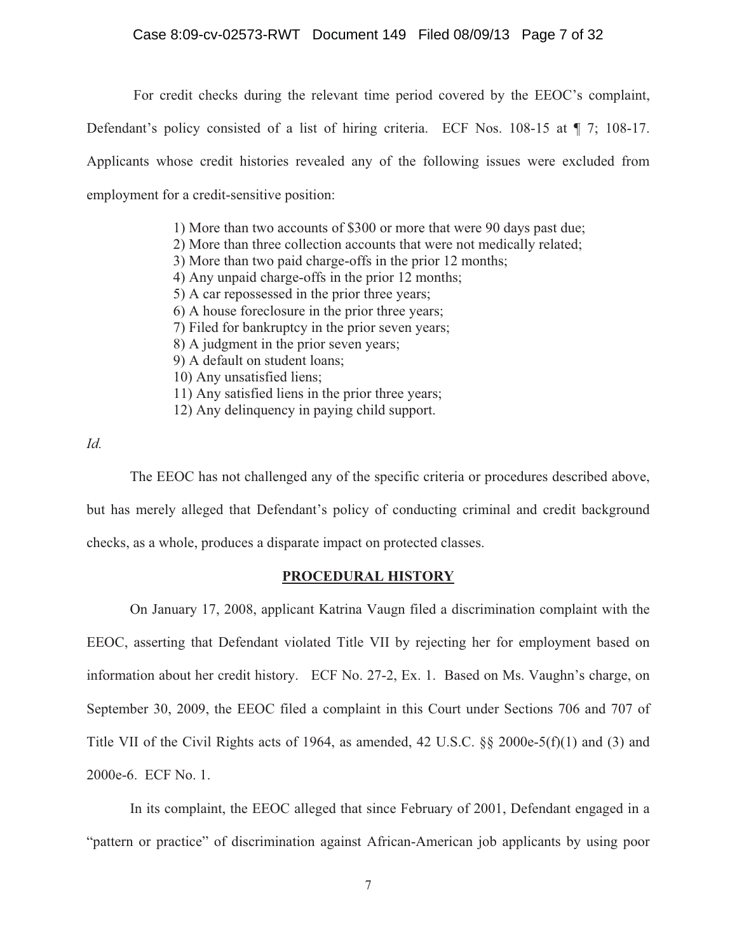## Case 8:09-cv-02573-RWT Document 149 Filed 08/09/13 Page 7 of 32

For credit checks during the relevant time period covered by the EEOC's complaint,

Defendant's policy consisted of a list of hiring criteria. ECF Nos. 108-15 at ¶ 7; 108-17. Applicants whose credit histories revealed any of the following issues were excluded from employment for a credit-sensitive position:

> 1) More than two accounts of \$300 or more that were 90 days past due; 2) More than three collection accounts that were not medically related; 3) More than two paid charge-offs in the prior 12 months; 4) Any unpaid charge-offs in the prior 12 months; 5) A car repossessed in the prior three years; 6) A house foreclosure in the prior three years; 7) Filed for bankruptcy in the prior seven years; 8) A judgment in the prior seven years; 9) A default on student loans; 10) Any unsatisfied liens; 11) Any satisfied liens in the prior three years; 12) Any delinquency in paying child support.

*Id.*

The EEOC has not challenged any of the specific criteria or procedures described above,

but has merely alleged that Defendant's policy of conducting criminal and credit background checks, as a whole, produces a disparate impact on protected classes.

### **PROCEDURAL HISTORY**

On January 17, 2008, applicant Katrina Vaugn filed a discrimination complaint with the EEOC, asserting that Defendant violated Title VII by rejecting her for employment based on information about her credit history. ECF No. 27-2, Ex. 1. Based on Ms. Vaughn's charge, on September 30, 2009, the EEOC filed a complaint in this Court under Sections 706 and 707 of Title VII of the Civil Rights acts of 1964, as amended, 42 U.S.C. §§ 2000e-5(f)(1) and (3) and 2000e-6. ECF No. 1.

In its complaint, the EEOC alleged that since February of 2001, Defendant engaged in a "pattern or practice" of discrimination against African-American job applicants by using poor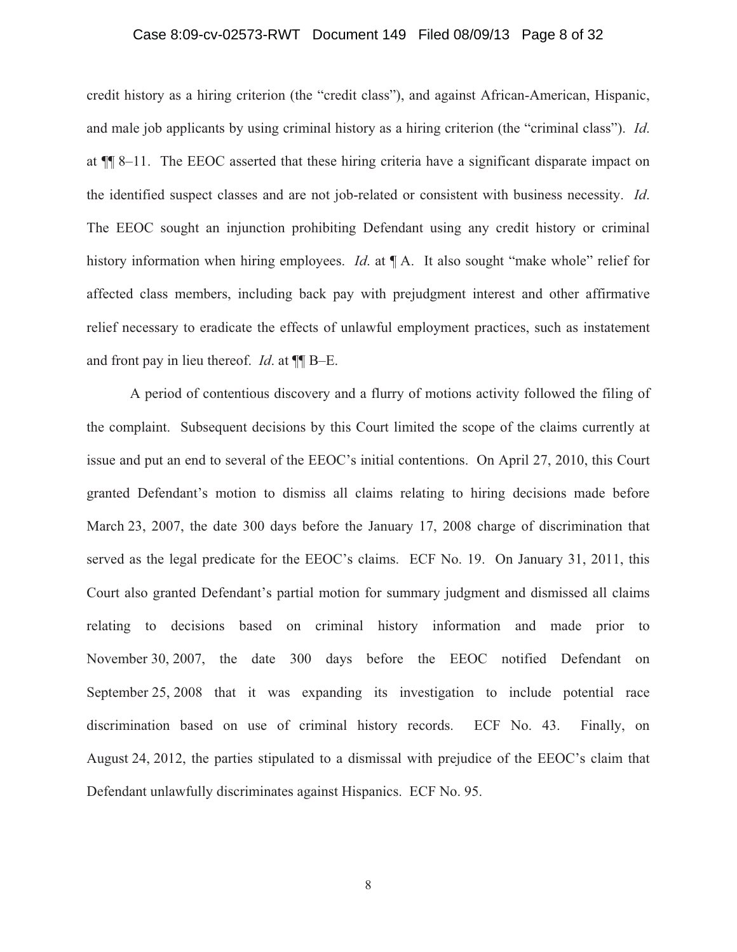## Case 8:09-cv-02573-RWT Document 149 Filed 08/09/13 Page 8 of 32

credit history as a hiring criterion (the "credit class"), and against African-American, Hispanic, and male job applicants by using criminal history as a hiring criterion (the "criminal class"). *Id*. at ¶¶ 8–11. The EEOC asserted that these hiring criteria have a significant disparate impact on the identified suspect classes and are not job-related or consistent with business necessity. *Id*. The EEOC sought an injunction prohibiting Defendant using any credit history or criminal history information when hiring employees. *Id*. at ¶ A. It also sought "make whole" relief for affected class members, including back pay with prejudgment interest and other affirmative relief necessary to eradicate the effects of unlawful employment practices, such as instatement and front pay in lieu thereof. *Id*. at ¶¶ B–E.

A period of contentious discovery and a flurry of motions activity followed the filing of the complaint. Subsequent decisions by this Court limited the scope of the claims currently at issue and put an end to several of the EEOC's initial contentions. On April 27, 2010, this Court granted Defendant's motion to dismiss all claims relating to hiring decisions made before March 23, 2007, the date 300 days before the January 17, 2008 charge of discrimination that served as the legal predicate for the EEOC's claims. ECF No. 19. On January 31, 2011, this Court also granted Defendant's partial motion for summary judgment and dismissed all claims relating to decisions based on criminal history information and made prior to November 30, 2007, the date 300 days before the EEOC notified Defendant on September 25, 2008 that it was expanding its investigation to include potential race discrimination based on use of criminal history records. ECF No. 43. Finally, on August 24, 2012, the parties stipulated to a dismissal with prejudice of the EEOC's claim that Defendant unlawfully discriminates against Hispanics. ECF No. 95.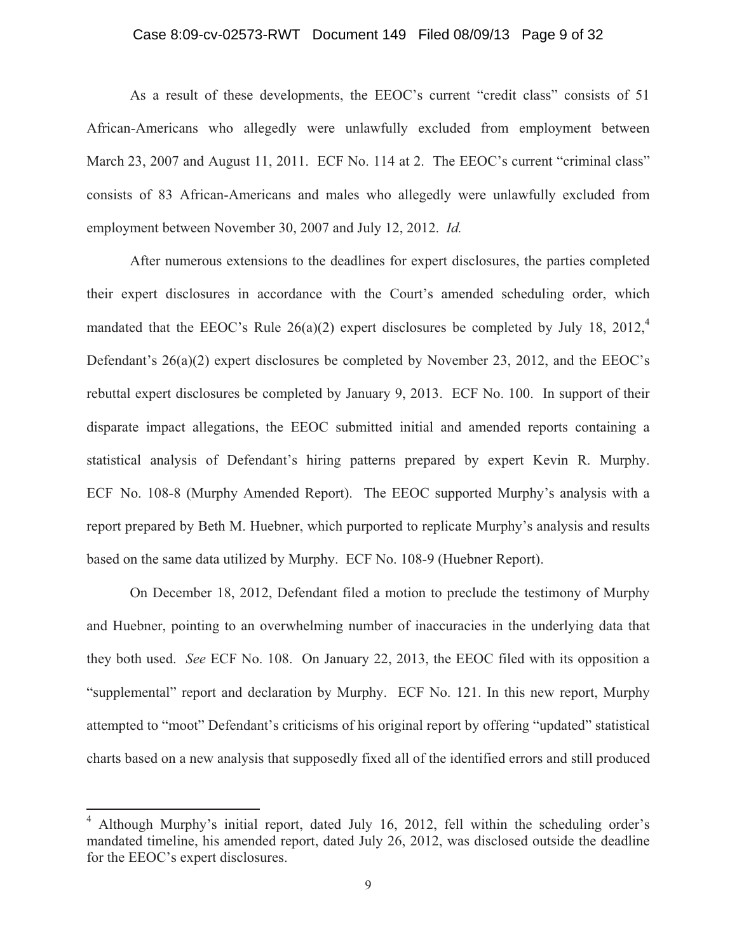## Case 8:09-cv-02573-RWT Document 149 Filed 08/09/13 Page 9 of 32

As a result of these developments, the EEOC's current "credit class" consists of 51 African-Americans who allegedly were unlawfully excluded from employment between March 23, 2007 and August 11, 2011. ECF No. 114 at 2. The EEOC's current "criminal class" consists of 83 African-Americans and males who allegedly were unlawfully excluded from employment between November 30, 2007 and July 12, 2012. *Id.*

After numerous extensions to the deadlines for expert disclosures, the parties completed their expert disclosures in accordance with the Court's amended scheduling order, which mandated that the EEOC's Rule  $26(a)(2)$  expert disclosures be completed by July 18,  $2012<sup>4</sup>$ Defendant's 26(a)(2) expert disclosures be completed by November 23, 2012, and the EEOC's rebuttal expert disclosures be completed by January 9, 2013. ECF No. 100. In support of their disparate impact allegations, the EEOC submitted initial and amended reports containing a statistical analysis of Defendant's hiring patterns prepared by expert Kevin R. Murphy. ECF No. 108-8 (Murphy Amended Report). The EEOC supported Murphy's analysis with a report prepared by Beth M. Huebner, which purported to replicate Murphy's analysis and results based on the same data utilized by Murphy. ECF No. 108-9 (Huebner Report).

On December 18, 2012, Defendant filed a motion to preclude the testimony of Murphy and Huebner, pointing to an overwhelming number of inaccuracies in the underlying data that they both used. *See* ECF No. 108. On January 22, 2013, the EEOC filed with its opposition a "supplemental" report and declaration by Murphy. ECF No. 121. In this new report, Murphy attempted to "moot" Defendant's criticisms of his original report by offering "updated" statistical charts based on a new analysis that supposedly fixed all of the identified errors and still produced

<sup>4</sup> Although Murphy's initial report, dated July 16, 2012, fell within the scheduling order's mandated timeline, his amended report, dated July 26, 2012, was disclosed outside the deadline for the EEOC's expert disclosures.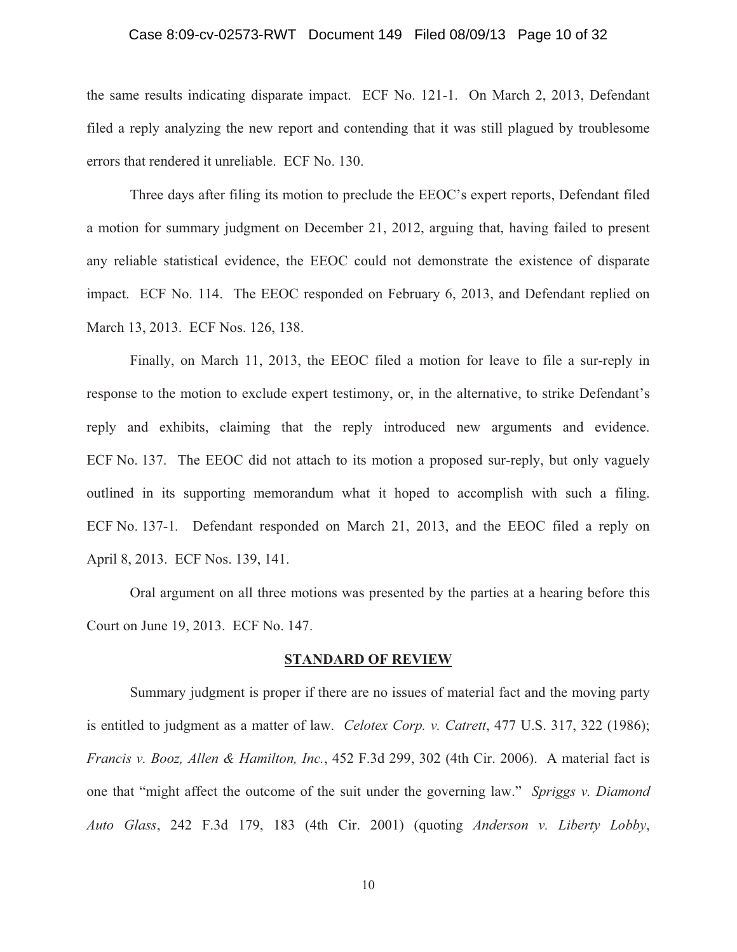### Case 8:09-cv-02573-RWT Document 149 Filed 08/09/13 Page 10 of 32

the same results indicating disparate impact. ECF No. 121-1. On March 2, 2013, Defendant filed a reply analyzing the new report and contending that it was still plagued by troublesome errors that rendered it unreliable. ECF No. 130.

Three days after filing its motion to preclude the EEOC's expert reports, Defendant filed a motion for summary judgment on December 21, 2012, arguing that, having failed to present any reliable statistical evidence, the EEOC could not demonstrate the existence of disparate impact. ECF No. 114. The EEOC responded on February 6, 2013, and Defendant replied on March 13, 2013. ECF Nos. 126, 138.

Finally, on March 11, 2013, the EEOC filed a motion for leave to file a sur-reply in response to the motion to exclude expert testimony, or, in the alternative, to strike Defendant's reply and exhibits, claiming that the reply introduced new arguments and evidence. ECF No. 137. The EEOC did not attach to its motion a proposed sur-reply, but only vaguely outlined in its supporting memorandum what it hoped to accomplish with such a filing. ECF No. 137-1*.* Defendant responded on March 21, 2013, and the EEOC filed a reply on April 8, 2013. ECF Nos. 139, 141.

Oral argument on all three motions was presented by the parties at a hearing before this Court on June 19, 2013. ECF No. 147.

#### **STANDARD OF REVIEW**

Summary judgment is proper if there are no issues of material fact and the moving party is entitled to judgment as a matter of law. *Celotex Corp. v. Catrett*, 477 U.S. 317, 322 (1986); *Francis v. Booz, Allen & Hamilton, Inc.*, 452 F.3d 299, 302 (4th Cir. 2006). A material fact is one that "might affect the outcome of the suit under the governing law." *Spriggs v. Diamond Auto Glass*, 242 F.3d 179, 183 (4th Cir. 2001) (quoting *Anderson v. Liberty Lobby*,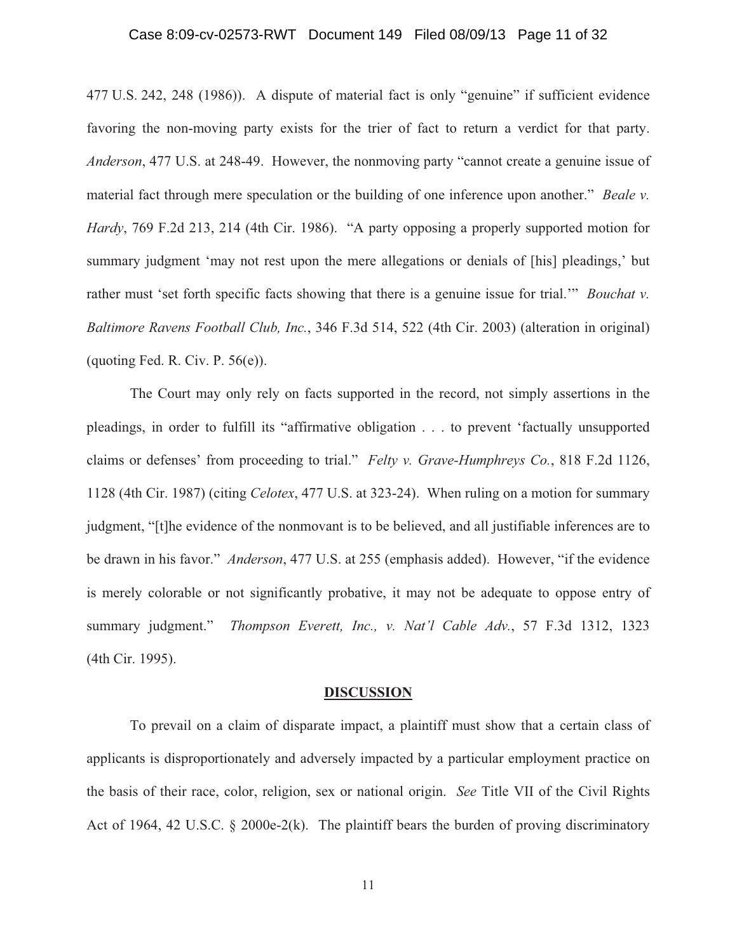### Case 8:09-cv-02573-RWT Document 149 Filed 08/09/13 Page 11 of 32

477 U.S. 242, 248 (1986)). A dispute of material fact is only "genuine" if sufficient evidence favoring the non-moving party exists for the trier of fact to return a verdict for that party. *Anderson*, 477 U.S. at 248-49. However, the nonmoving party "cannot create a genuine issue of material fact through mere speculation or the building of one inference upon another." *Beale v. Hardy*, 769 F.2d 213, 214 (4th Cir. 1986). "A party opposing a properly supported motion for summary judgment 'may not rest upon the mere allegations or denials of [his] pleadings,' but rather must 'set forth specific facts showing that there is a genuine issue for trial.'" *Bouchat v. Baltimore Ravens Football Club, Inc.*, 346 F.3d 514, 522 (4th Cir. 2003) (alteration in original) (quoting Fed. R. Civ. P.  $56(e)$ ).

 The Court may only rely on facts supported in the record, not simply assertions in the pleadings, in order to fulfill its "affirmative obligation . . . to prevent 'factually unsupported claims or defenses' from proceeding to trial." *Felty v. Grave-Humphreys Co.*, 818 F.2d 1126, 1128 (4th Cir. 1987) (citing *Celotex*, 477 U.S. at 323-24). When ruling on a motion for summary judgment, "[t]he evidence of the nonmovant is to be believed, and all justifiable inferences are to be drawn in his favor." *Anderson*, 477 U.S. at 255 (emphasis added). However, "if the evidence is merely colorable or not significantly probative, it may not be adequate to oppose entry of summary judgment." *Thompson Everett, Inc., v. Nat'l Cable Adv.*, 57 F.3d 1312, 1323 (4th Cir. 1995).

#### **DISCUSSION**

To prevail on a claim of disparate impact, a plaintiff must show that a certain class of applicants is disproportionately and adversely impacted by a particular employment practice on the basis of their race, color, religion, sex or national origin. *See* Title VII of the Civil Rights Act of 1964, 42 U.S.C. § 2000e-2(k). The plaintiff bears the burden of proving discriminatory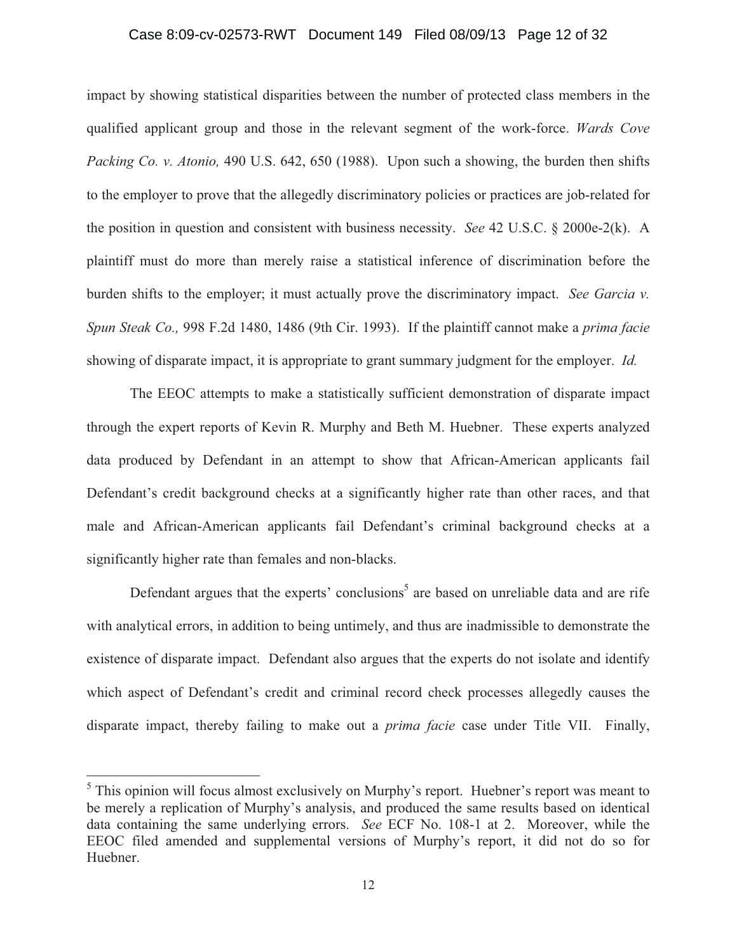## Case 8:09-cv-02573-RWT Document 149 Filed 08/09/13 Page 12 of 32

impact by showing statistical disparities between the number of protected class members in the qualified applicant group and those in the relevant segment of the work-force. *Wards Cove Packing Co. v. Atonio,* 490 U.S. 642, 650 (1988). Upon such a showing, the burden then shifts to the employer to prove that the allegedly discriminatory policies or practices are job-related for the position in question and consistent with business necessity. *See* 42 U.S.C. § 2000e-2(k). A plaintiff must do more than merely raise a statistical inference of discrimination before the burden shifts to the employer; it must actually prove the discriminatory impact. *See Garcia v. Spun Steak Co.,* 998 F.2d 1480, 1486 (9th Cir. 1993). If the plaintiff cannot make a *prima facie*  showing of disparate impact, it is appropriate to grant summary judgment for the employer. *Id.*

The EEOC attempts to make a statistically sufficient demonstration of disparate impact through the expert reports of Kevin R. Murphy and Beth M. Huebner. These experts analyzed data produced by Defendant in an attempt to show that African-American applicants fail Defendant's credit background checks at a significantly higher rate than other races, and that male and African-American applicants fail Defendant's criminal background checks at a significantly higher rate than females and non-blacks.

Defendant argues that the experts' conclusions<sup>5</sup> are based on unreliable data and are rife with analytical errors, in addition to being untimely, and thus are inadmissible to demonstrate the existence of disparate impact. Defendant also argues that the experts do not isolate and identify which aspect of Defendant's credit and criminal record check processes allegedly causes the disparate impact, thereby failing to make out a *prima facie* case under Title VII. Finally,

<sup>&</sup>lt;sup>5</sup> This opinion will focus almost exclusively on Murphy's report. Huebner's report was meant to be merely a replication of Murphy's analysis, and produced the same results based on identical data containing the same underlying errors. *See* ECF No. 108-1 at 2. Moreover, while the EEOC filed amended and supplemental versions of Murphy's report, it did not do so for Huebner.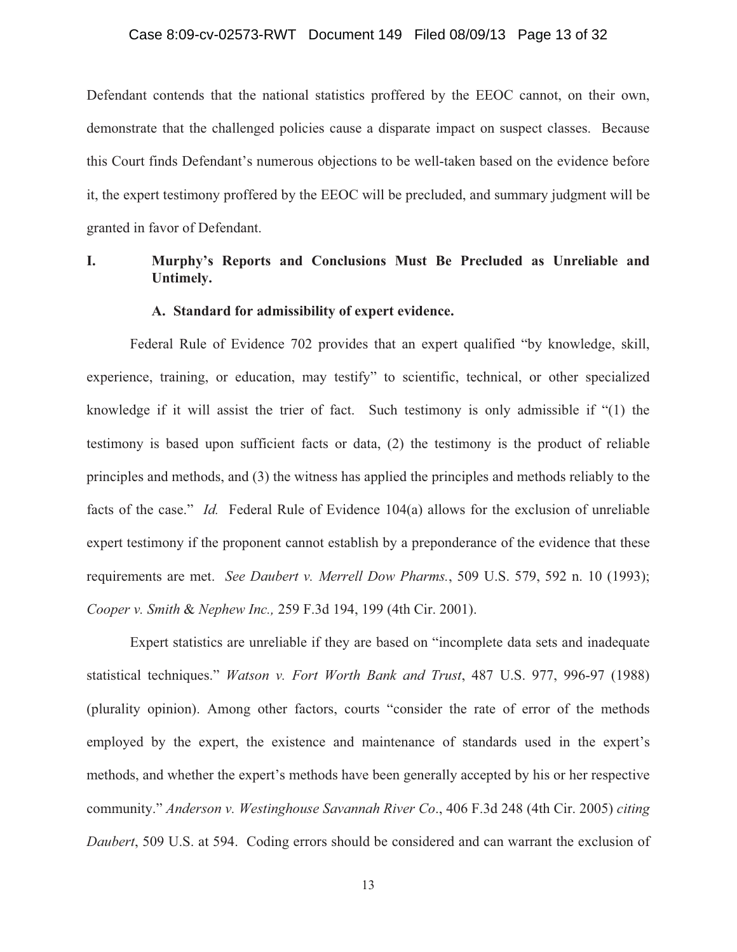## Case 8:09-cv-02573-RWT Document 149 Filed 08/09/13 Page 13 of 32

Defendant contends that the national statistics proffered by the EEOC cannot, on their own, demonstrate that the challenged policies cause a disparate impact on suspect classes. Because this Court finds Defendant's numerous objections to be well-taken based on the evidence before it, the expert testimony proffered by the EEOC will be precluded, and summary judgment will be granted in favor of Defendant.

# **I. Murphy's Reports and Conclusions Must Be Precluded as Unreliable and Untimely.**

### **A. Standard for admissibility of expert evidence.**

Federal Rule of Evidence 702 provides that an expert qualified "by knowledge, skill, experience, training, or education, may testify" to scientific, technical, or other specialized knowledge if it will assist the trier of fact. Such testimony is only admissible if "(1) the testimony is based upon sufficient facts or data, (2) the testimony is the product of reliable principles and methods, and (3) the witness has applied the principles and methods reliably to the facts of the case." *Id.* Federal Rule of Evidence 104(a) allows for the exclusion of unreliable expert testimony if the proponent cannot establish by a preponderance of the evidence that these requirements are met. *See Daubert v. Merrell Dow Pharms.*, 509 U.S. 579, 592 n. 10 (1993); *Cooper v. Smith* & *Nephew Inc.,* 259 F.3d 194, 199 (4th Cir. 2001).

Expert statistics are unreliable if they are based on "incomplete data sets and inadequate statistical techniques." *Watson v. Fort Worth Bank and Trust*, 487 U.S. 977, 996-97 (1988) (plurality opinion). Among other factors, courts "consider the rate of error of the methods employed by the expert, the existence and maintenance of standards used in the expert's methods, and whether the expert's methods have been generally accepted by his or her respective community." *Anderson v. Westinghouse Savannah River Co*., 406 F.3d 248 (4th Cir. 2005) *citing Daubert*, 509 U.S. at 594. Coding errors should be considered and can warrant the exclusion of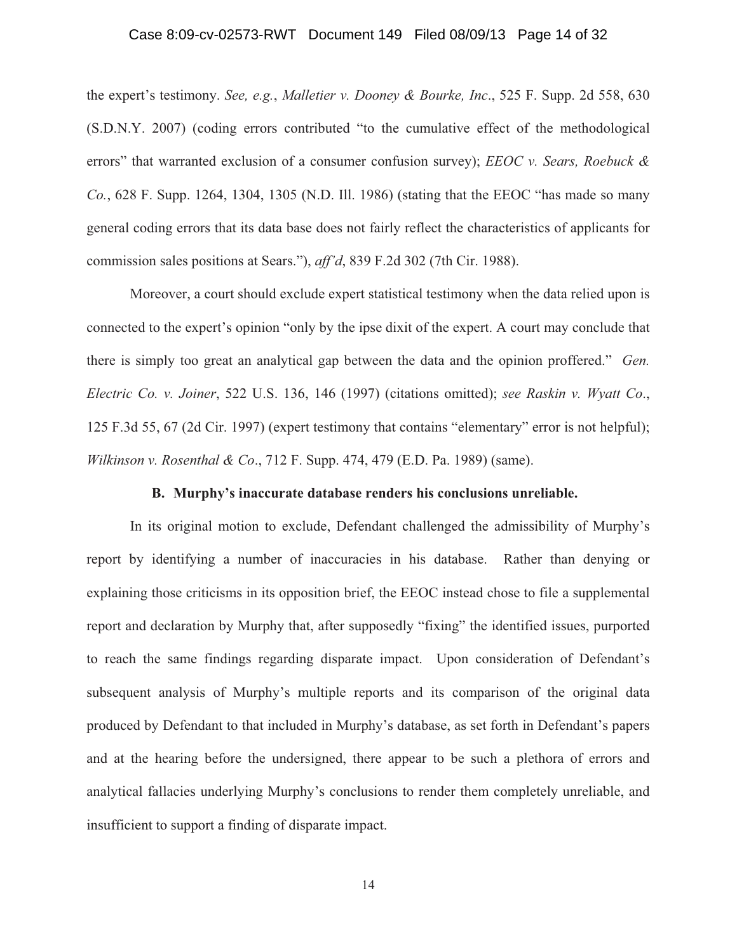## Case 8:09-cv-02573-RWT Document 149 Filed 08/09/13 Page 14 of 32

the expert's testimony. *See, e.g.*, *Malletier v. Dooney & Bourke, Inc*., 525 F. Supp. 2d 558, 630 (S.D.N.Y. 2007) (coding errors contributed "to the cumulative effect of the methodological errors" that warranted exclusion of a consumer confusion survey); *EEOC v. Sears, Roebuck & Co.*, 628 F. Supp. 1264, 1304, 1305 (N.D. Ill. 1986) (stating that the EEOC "has made so many general coding errors that its data base does not fairly reflect the characteristics of applicants for commission sales positions at Sears."), *aff'd*, 839 F.2d 302 (7th Cir. 1988).

Moreover, a court should exclude expert statistical testimony when the data relied upon is connected to the expert's opinion "only by the ipse dixit of the expert. A court may conclude that there is simply too great an analytical gap between the data and the opinion proffered." *Gen. Electric Co. v. Joiner*, 522 U.S. 136, 146 (1997) (citations omitted); *see Raskin v. Wyatt Co*., 125 F.3d 55, 67 (2d Cir. 1997) (expert testimony that contains "elementary" error is not helpful); *Wilkinson v. Rosenthal & Co*., 712 F. Supp. 474, 479 (E.D. Pa. 1989) (same).

### **B. Murphy's inaccurate database renders his conclusions unreliable.**

In its original motion to exclude, Defendant challenged the admissibility of Murphy's report by identifying a number of inaccuracies in his database. Rather than denying or explaining those criticisms in its opposition brief, the EEOC instead chose to file a supplemental report and declaration by Murphy that, after supposedly "fixing" the identified issues, purported to reach the same findings regarding disparate impact. Upon consideration of Defendant's subsequent analysis of Murphy's multiple reports and its comparison of the original data produced by Defendant to that included in Murphy's database, as set forth in Defendant's papers and at the hearing before the undersigned, there appear to be such a plethora of errors and analytical fallacies underlying Murphy's conclusions to render them completely unreliable, and insufficient to support a finding of disparate impact.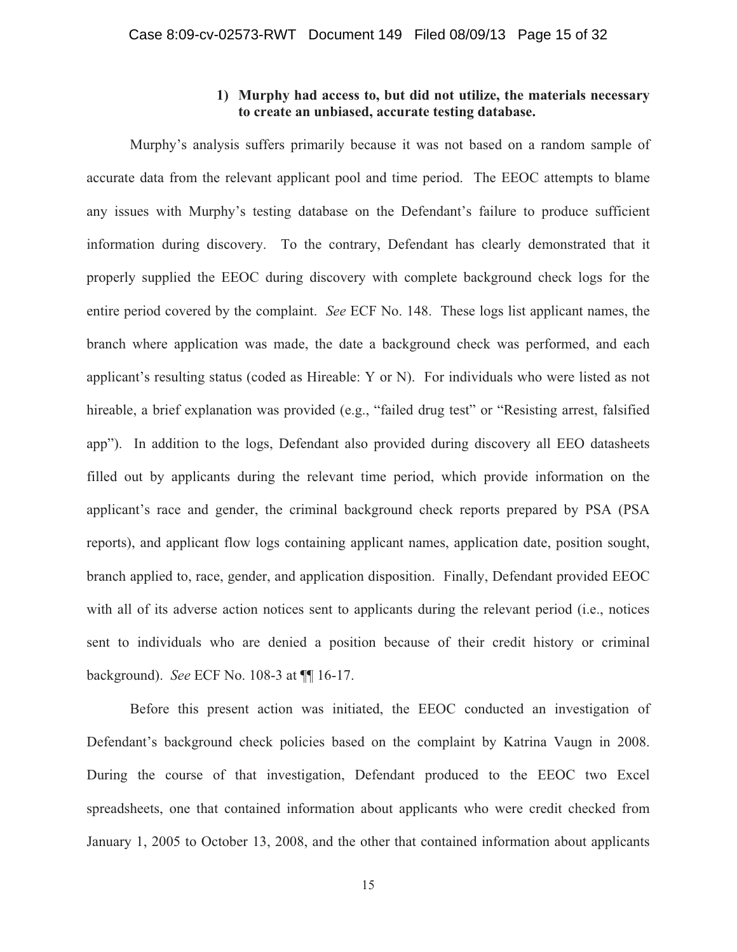## **1) Murphy had access to, but did not utilize, the materials necessary to create an unbiased, accurate testing database.**

Murphy's analysis suffers primarily because it was not based on a random sample of accurate data from the relevant applicant pool and time period. The EEOC attempts to blame any issues with Murphy's testing database on the Defendant's failure to produce sufficient information during discovery. To the contrary, Defendant has clearly demonstrated that it properly supplied the EEOC during discovery with complete background check logs for the entire period covered by the complaint. *See* ECF No. 148. These logs list applicant names, the branch where application was made, the date a background check was performed, and each applicant's resulting status (coded as Hireable: Y or N). For individuals who were listed as not hireable, a brief explanation was provided (e.g., "failed drug test" or "Resisting arrest, falsified app"). In addition to the logs, Defendant also provided during discovery all EEO datasheets filled out by applicants during the relevant time period, which provide information on the applicant's race and gender, the criminal background check reports prepared by PSA (PSA reports), and applicant flow logs containing applicant names, application date, position sought, branch applied to, race, gender, and application disposition. Finally, Defendant provided EEOC with all of its adverse action notices sent to applicants during the relevant period (i.e., notices sent to individuals who are denied a position because of their credit history or criminal background). *See* ECF No. 108-3 at ¶¶ 16-17.

Before this present action was initiated, the EEOC conducted an investigation of Defendant's background check policies based on the complaint by Katrina Vaugn in 2008. During the course of that investigation, Defendant produced to the EEOC two Excel spreadsheets, one that contained information about applicants who were credit checked from January 1, 2005 to October 13, 2008, and the other that contained information about applicants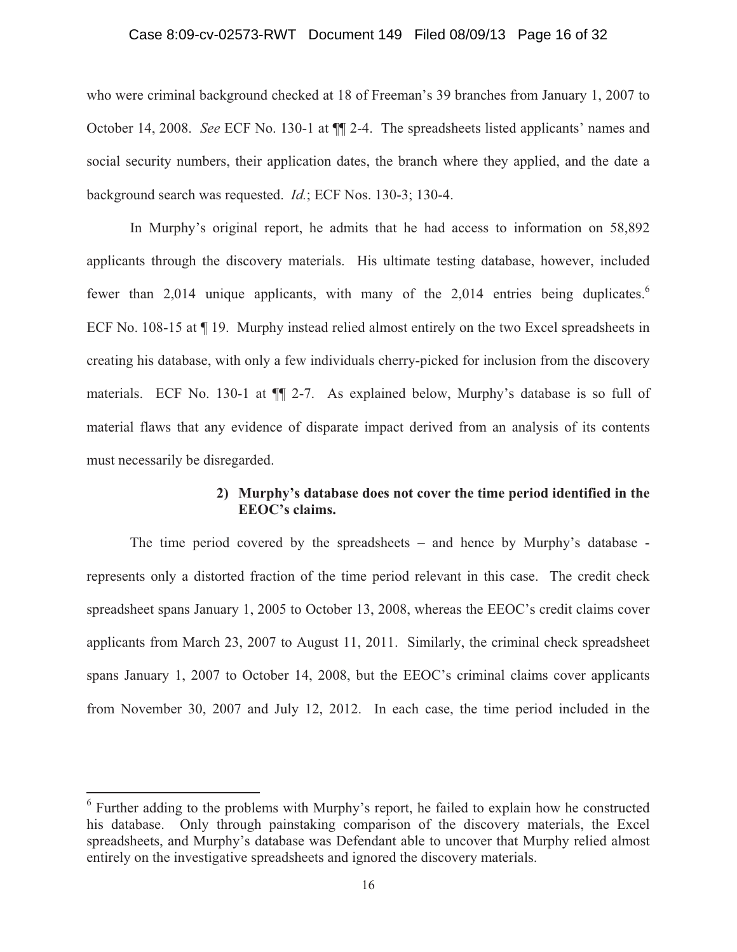### Case 8:09-cv-02573-RWT Document 149 Filed 08/09/13 Page 16 of 32

who were criminal background checked at 18 of Freeman's 39 branches from January 1, 2007 to October 14, 2008. *See* ECF No. 130-1 at ¶¶ 2-4. The spreadsheets listed applicants' names and social security numbers, their application dates, the branch where they applied, and the date a background search was requested. *Id.*; ECF Nos. 130-3; 130-4.

In Murphy's original report, he admits that he had access to information on 58,892 applicants through the discovery materials. His ultimate testing database, however, included fewer than 2,014 unique applicants, with many of the 2,014 entries being duplicates.<sup>6</sup> ECF No. 108-15 at ¶ 19. Murphy instead relied almost entirely on the two Excel spreadsheets in creating his database, with only a few individuals cherry-picked for inclusion from the discovery materials. ECF No. 130-1 at ¶¶ 2-7. As explained below, Murphy's database is so full of material flaws that any evidence of disparate impact derived from an analysis of its contents must necessarily be disregarded.

## **2) Murphy's database does not cover the time period identified in the EEOC's claims.**

The time period covered by the spreadsheets – and hence by Murphy's database represents only a distorted fraction of the time period relevant in this case. The credit check spreadsheet spans January 1, 2005 to October 13, 2008, whereas the EEOC's credit claims cover applicants from March 23, 2007 to August 11, 2011. Similarly, the criminal check spreadsheet spans January 1, 2007 to October 14, 2008, but the EEOC's criminal claims cover applicants from November 30, 2007 and July 12, 2012. In each case, the time period included in the

<sup>&</sup>lt;sup>6</sup> Further adding to the problems with Murphy's report, he failed to explain how he constructed his database. Only through painstaking comparison of the discovery materials, the Excel spreadsheets, and Murphy's database was Defendant able to uncover that Murphy relied almost entirely on the investigative spreadsheets and ignored the discovery materials.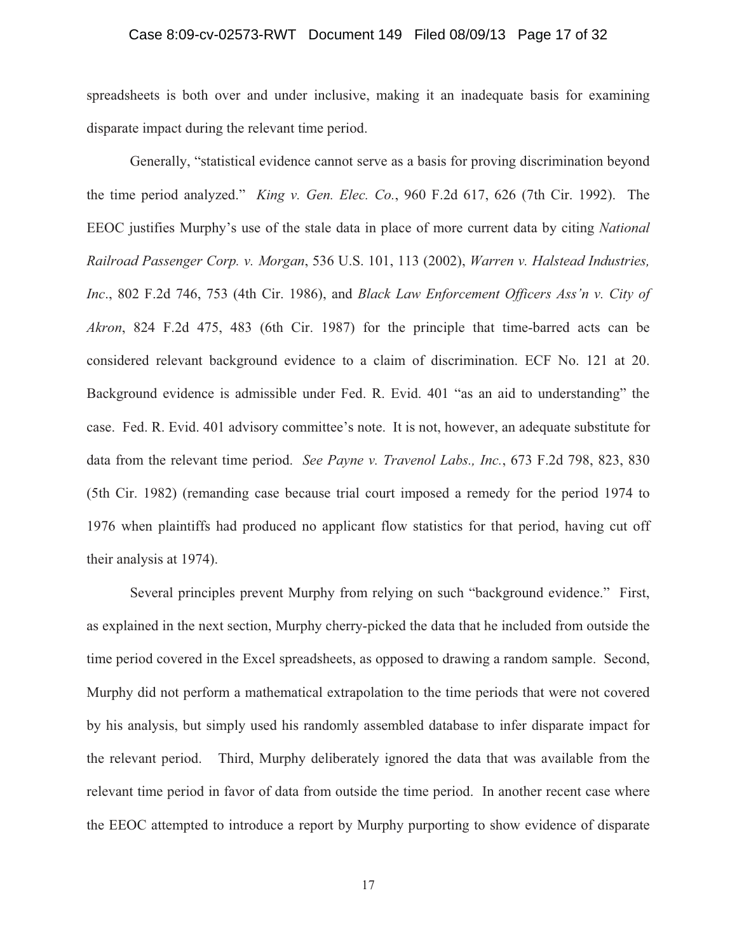## Case 8:09-cv-02573-RWT Document 149 Filed 08/09/13 Page 17 of 32

spreadsheets is both over and under inclusive, making it an inadequate basis for examining disparate impact during the relevant time period.

Generally, "statistical evidence cannot serve as a basis for proving discrimination beyond the time period analyzed." *King v. Gen. Elec. Co.*, 960 F.2d 617, 626 (7th Cir. 1992). The EEOC justifies Murphy's use of the stale data in place of more current data by citing *National Railroad Passenger Corp. v. Morgan*, 536 U.S. 101, 113 (2002), *Warren v. Halstead Industries, Inc*., 802 F.2d 746, 753 (4th Cir. 1986), and *Black Law Enforcement Officers Ass'n v. City of Akron*, 824 F.2d 475, 483 (6th Cir. 1987) for the principle that time-barred acts can be considered relevant background evidence to a claim of discrimination. ECF No. 121 at 20. Background evidence is admissible under Fed. R. Evid. 401 "as an aid to understanding" the case. Fed. R. Evid. 401 advisory committee's note. It is not, however, an adequate substitute for data from the relevant time period. *See Payne v. Travenol Labs., Inc.*, 673 F.2d 798, 823, 830 (5th Cir. 1982) (remanding case because trial court imposed a remedy for the period 1974 to 1976 when plaintiffs had produced no applicant flow statistics for that period, having cut off their analysis at 1974).

Several principles prevent Murphy from relying on such "background evidence." First, as explained in the next section, Murphy cherry-picked the data that he included from outside the time period covered in the Excel spreadsheets, as opposed to drawing a random sample. Second, Murphy did not perform a mathematical extrapolation to the time periods that were not covered by his analysis, but simply used his randomly assembled database to infer disparate impact for the relevant period. Third, Murphy deliberately ignored the data that was available from the relevant time period in favor of data from outside the time period. In another recent case where the EEOC attempted to introduce a report by Murphy purporting to show evidence of disparate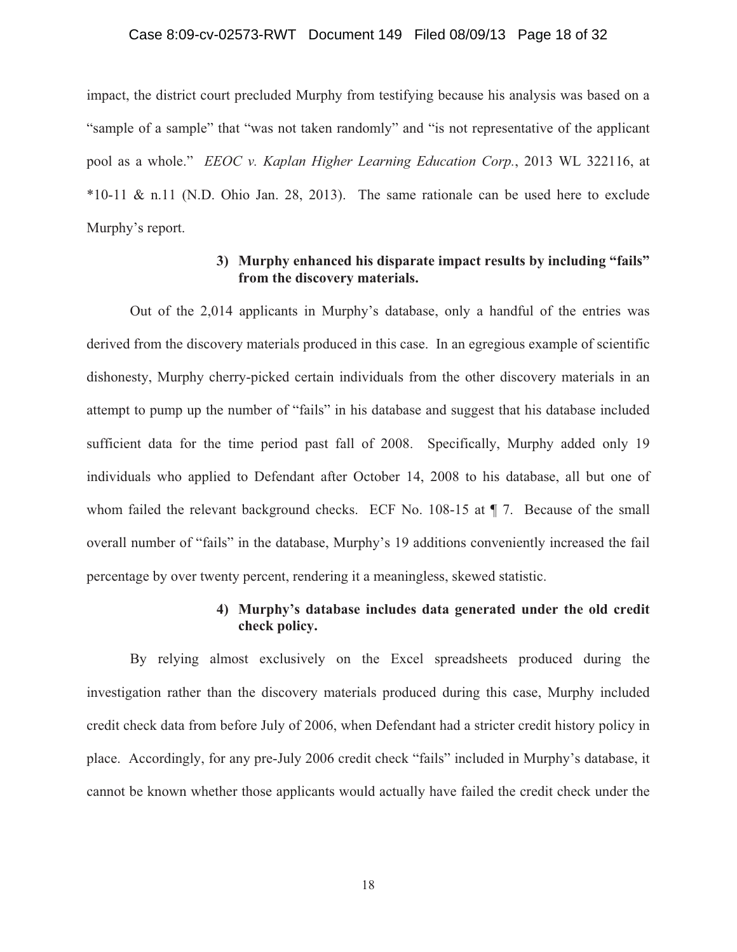#### Case 8:09-cv-02573-RWT Document 149 Filed 08/09/13 Page 18 of 32

impact, the district court precluded Murphy from testifying because his analysis was based on a "sample of a sample" that "was not taken randomly" and "is not representative of the applicant pool as a whole." *EEOC v. Kaplan Higher Learning Education Corp.*, 2013 WL 322116, at \*10-11 & n.11 (N.D. Ohio Jan. 28, 2013). The same rationale can be used here to exclude Murphy's report.

## **3) Murphy enhanced his disparate impact results by including "fails" from the discovery materials.**

Out of the 2,014 applicants in Murphy's database, only a handful of the entries was derived from the discovery materials produced in this case. In an egregious example of scientific dishonesty, Murphy cherry-picked certain individuals from the other discovery materials in an attempt to pump up the number of "fails" in his database and suggest that his database included sufficient data for the time period past fall of 2008. Specifically, Murphy added only 19 individuals who applied to Defendant after October 14, 2008 to his database, all but one of whom failed the relevant background checks. ECF No. 108-15 at  $\P$  7. Because of the small overall number of "fails" in the database, Murphy's 19 additions conveniently increased the fail percentage by over twenty percent, rendering it a meaningless, skewed statistic.

## **4) Murphy's database includes data generated under the old credit check policy.**

By relying almost exclusively on the Excel spreadsheets produced during the investigation rather than the discovery materials produced during this case, Murphy included credit check data from before July of 2006, when Defendant had a stricter credit history policy in place. Accordingly, for any pre-July 2006 credit check "fails" included in Murphy's database, it cannot be known whether those applicants would actually have failed the credit check under the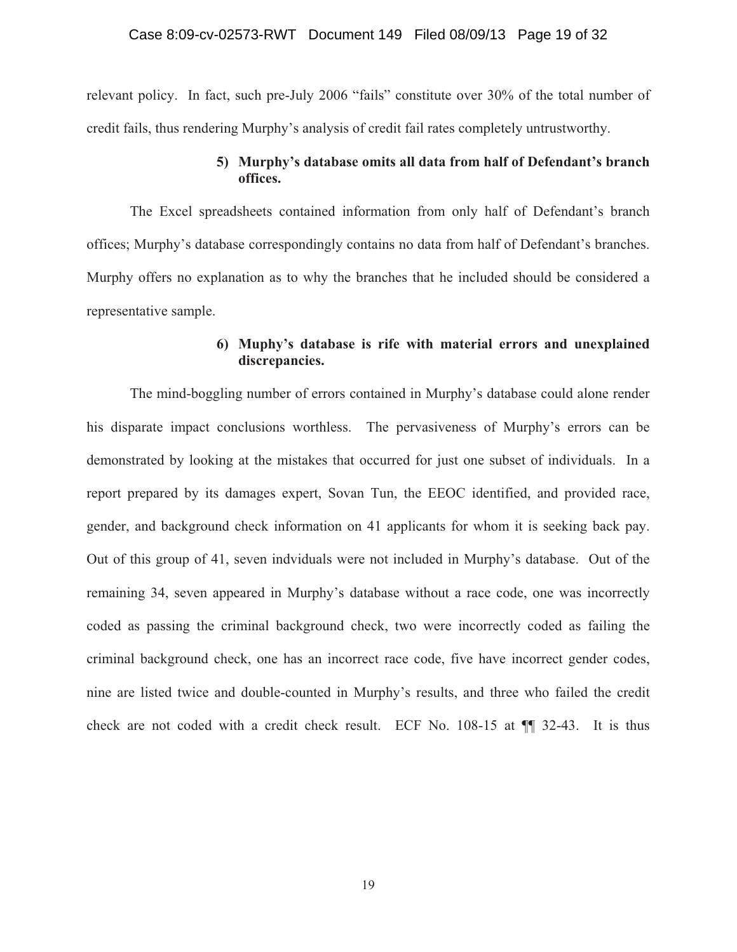relevant policy. In fact, such pre-July 2006 "fails" constitute over 30% of the total number of credit fails, thus rendering Murphy's analysis of credit fail rates completely untrustworthy.

# **5) Murphy's database omits all data from half of Defendant's branch offices.**

The Excel spreadsheets contained information from only half of Defendant's branch offices; Murphy's database correspondingly contains no data from half of Defendant's branches. Murphy offers no explanation as to why the branches that he included should be considered a representative sample.

# **6) Muphy's database is rife with material errors and unexplained discrepancies.**

The mind-boggling number of errors contained in Murphy's database could alone render his disparate impact conclusions worthless. The pervasiveness of Murphy's errors can be demonstrated by looking at the mistakes that occurred for just one subset of individuals. In a report prepared by its damages expert, Sovan Tun, the EEOC identified, and provided race, gender, and background check information on 41 applicants for whom it is seeking back pay. Out of this group of 41, seven indviduals were not included in Murphy's database. Out of the remaining 34, seven appeared in Murphy's database without a race code, one was incorrectly coded as passing the criminal background check, two were incorrectly coded as failing the criminal background check, one has an incorrect race code, five have incorrect gender codes, nine are listed twice and double-counted in Murphy's results, and three who failed the credit check are not coded with a credit check result. ECF No. 108-15 at ¶¶ 32-43. It is thus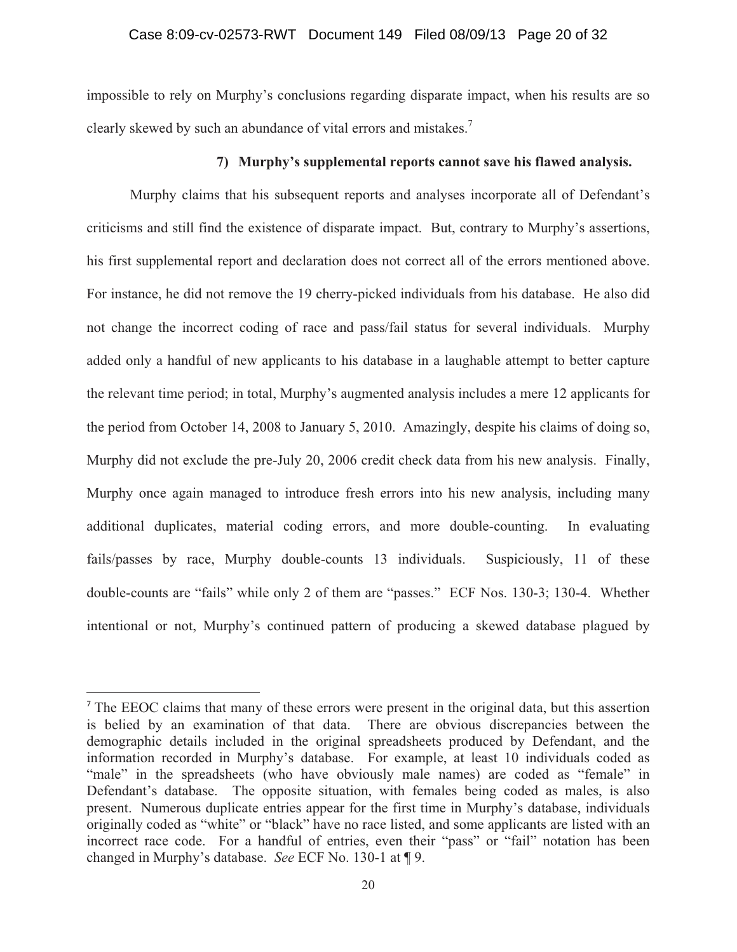## Case 8:09-cv-02573-RWT Document 149 Filed 08/09/13 Page 20 of 32

impossible to rely on Murphy's conclusions regarding disparate impact, when his results are so clearly skewed by such an abundance of vital errors and mistakes.<sup>7</sup>

### **7) Murphy's supplemental reports cannot save his flawed analysis.**

Murphy claims that his subsequent reports and analyses incorporate all of Defendant's criticisms and still find the existence of disparate impact. But, contrary to Murphy's assertions, his first supplemental report and declaration does not correct all of the errors mentioned above. For instance, he did not remove the 19 cherry-picked individuals from his database. He also did not change the incorrect coding of race and pass/fail status for several individuals. Murphy added only a handful of new applicants to his database in a laughable attempt to better capture the relevant time period; in total, Murphy's augmented analysis includes a mere 12 applicants for the period from October 14, 2008 to January 5, 2010. Amazingly, despite his claims of doing so, Murphy did not exclude the pre-July 20, 2006 credit check data from his new analysis. Finally, Murphy once again managed to introduce fresh errors into his new analysis, including many additional duplicates, material coding errors, and more double-counting. In evaluating fails/passes by race, Murphy double-counts 13 individuals. Suspiciously, 11 of these double-counts are "fails" while only 2 of them are "passes." ECF Nos. 130-3; 130-4. Whether intentional or not, Murphy's continued pattern of producing a skewed database plagued by

<sup>7</sup> The EEOC claims that many of these errors were present in the original data, but this assertion is belied by an examination of that data. There are obvious discrepancies between the demographic details included in the original spreadsheets produced by Defendant, and the information recorded in Murphy's database. For example, at least 10 individuals coded as "male" in the spreadsheets (who have obviously male names) are coded as "female" in Defendant's database. The opposite situation, with females being coded as males, is also present. Numerous duplicate entries appear for the first time in Murphy's database, individuals originally coded as "white" or "black" have no race listed, and some applicants are listed with an incorrect race code. For a handful of entries, even their "pass" or "fail" notation has been changed in Murphy's database. *See* ECF No. 130-1 at ¶ 9.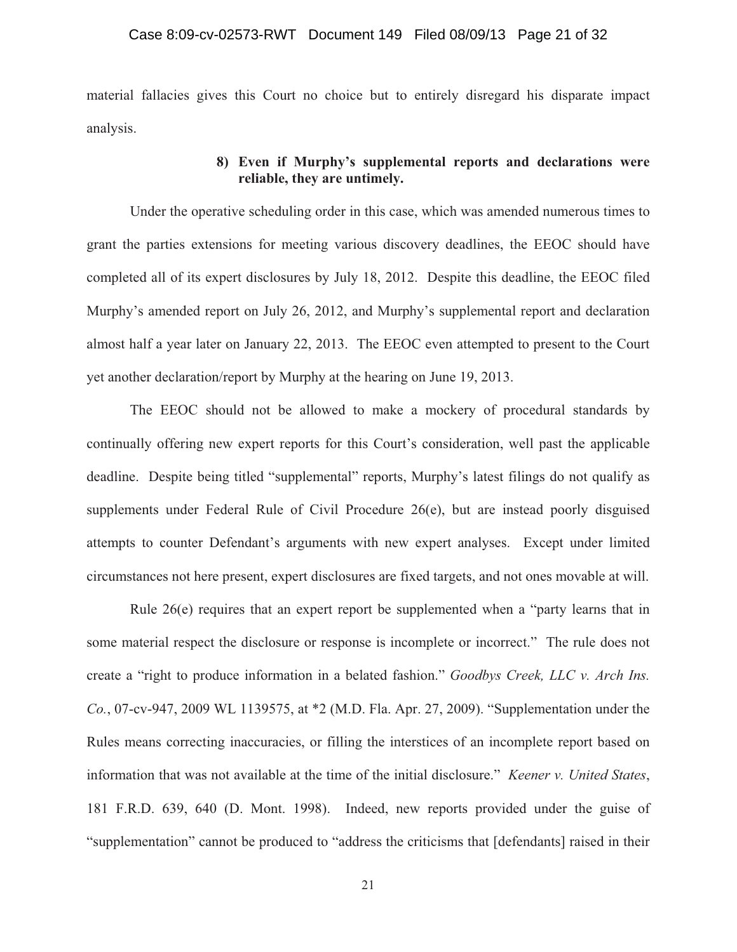material fallacies gives this Court no choice but to entirely disregard his disparate impact analysis.

# **8) Even if Murphy's supplemental reports and declarations were reliable, they are untimely.**

Under the operative scheduling order in this case, which was amended numerous times to grant the parties extensions for meeting various discovery deadlines, the EEOC should have completed all of its expert disclosures by July 18, 2012. Despite this deadline, the EEOC filed Murphy's amended report on July 26, 2012, and Murphy's supplemental report and declaration almost half a year later on January 22, 2013. The EEOC even attempted to present to the Court yet another declaration/report by Murphy at the hearing on June 19, 2013.

The EEOC should not be allowed to make a mockery of procedural standards by continually offering new expert reports for this Court's consideration, well past the applicable deadline. Despite being titled "supplemental" reports, Murphy's latest filings do not qualify as supplements under Federal Rule of Civil Procedure 26(e), but are instead poorly disguised attempts to counter Defendant's arguments with new expert analyses. Except under limited circumstances not here present, expert disclosures are fixed targets, and not ones movable at will.

Rule 26(e) requires that an expert report be supplemented when a "party learns that in some material respect the disclosure or response is incomplete or incorrect." The rule does not create a "right to produce information in a belated fashion." *Goodbys Creek, LLC v. Arch Ins. Co.*, 07-cv-947, 2009 WL 1139575, at \*2 (M.D. Fla. Apr. 27, 2009). "Supplementation under the Rules means correcting inaccuracies, or filling the interstices of an incomplete report based on information that was not available at the time of the initial disclosure." *Keener v. United States*, 181 F.R.D. 639, 640 (D. Mont. 1998). Indeed, new reports provided under the guise of "supplementation" cannot be produced to "address the criticisms that [defendants] raised in their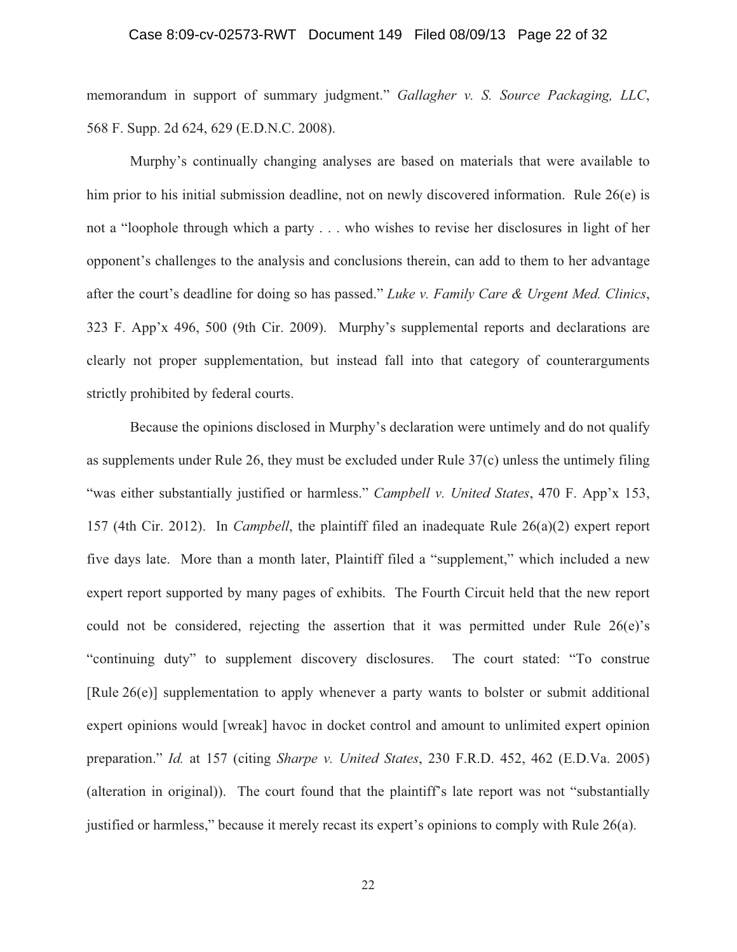## Case 8:09-cv-02573-RWT Document 149 Filed 08/09/13 Page 22 of 32

memorandum in support of summary judgment." *Gallagher v. S. Source Packaging, LLC*, 568 F. Supp. 2d 624, 629 (E.D.N.C. 2008).

Murphy's continually changing analyses are based on materials that were available to him prior to his initial submission deadline, not on newly discovered information. Rule 26(e) is not a "loophole through which a party . . . who wishes to revise her disclosures in light of her opponent's challenges to the analysis and conclusions therein, can add to them to her advantage after the court's deadline for doing so has passed." *Luke v. Family Care & Urgent Med. Clinics*, 323 F. App'x 496, 500 (9th Cir. 2009). Murphy's supplemental reports and declarations are clearly not proper supplementation, but instead fall into that category of counterarguments strictly prohibited by federal courts.

Because the opinions disclosed in Murphy's declaration were untimely and do not qualify as supplements under Rule 26, they must be excluded under Rule 37(c) unless the untimely filing "was either substantially justified or harmless." *Campbell v. United States*, 470 F. App'x 153, 157 (4th Cir. 2012). In *Campbell*, the plaintiff filed an inadequate Rule 26(a)(2) expert report five days late. More than a month later, Plaintiff filed a "supplement," which included a new expert report supported by many pages of exhibits. The Fourth Circuit held that the new report could not be considered, rejecting the assertion that it was permitted under Rule 26(e)'s "continuing duty" to supplement discovery disclosures. The court stated: "To construe [Rule 26(e)] supplementation to apply whenever a party wants to bolster or submit additional expert opinions would [wreak] havoc in docket control and amount to unlimited expert opinion preparation." *Id.* at 157 (citing *Sharpe v. United States*, 230 F.R.D. 452, 462 (E.D.Va. 2005) (alteration in original)). The court found that the plaintiff's late report was not "substantially justified or harmless," because it merely recast its expert's opinions to comply with Rule 26(a).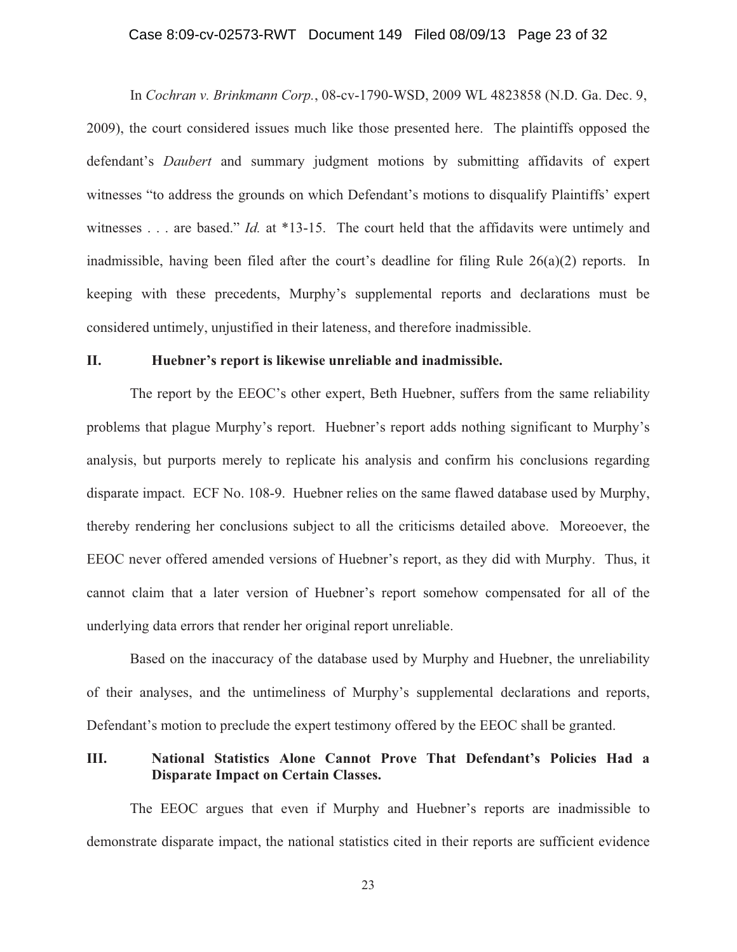## Case 8:09-cv-02573-RWT Document 149 Filed 08/09/13 Page 23 of 32

In *Cochran v. Brinkmann Corp.*, 08-cv-1790-WSD, 2009 WL 4823858 (N.D. Ga. Dec. 9, 2009), the court considered issues much like those presented here. The plaintiffs opposed the defendant's *Daubert* and summary judgment motions by submitting affidavits of expert witnesses "to address the grounds on which Defendant's motions to disqualify Plaintiffs' expert witnesses . . . are based." *Id.* at \*13-15. The court held that the affidavits were untimely and inadmissible, having been filed after the court's deadline for filing Rule  $26(a)(2)$  reports. In keeping with these precedents, Murphy's supplemental reports and declarations must be considered untimely, unjustified in their lateness, and therefore inadmissible.

#### **II. Huebner's report is likewise unreliable and inadmissible.**

The report by the EEOC's other expert, Beth Huebner, suffers from the same reliability problems that plague Murphy's report. Huebner's report adds nothing significant to Murphy's analysis, but purports merely to replicate his analysis and confirm his conclusions regarding disparate impact. ECF No. 108-9. Huebner relies on the same flawed database used by Murphy, thereby rendering her conclusions subject to all the criticisms detailed above. Moreoever, the EEOC never offered amended versions of Huebner's report, as they did with Murphy. Thus, it cannot claim that a later version of Huebner's report somehow compensated for all of the underlying data errors that render her original report unreliable.

Based on the inaccuracy of the database used by Murphy and Huebner, the unreliability of their analyses, and the untimeliness of Murphy's supplemental declarations and reports, Defendant's motion to preclude the expert testimony offered by the EEOC shall be granted.

## **III. National Statistics Alone Cannot Prove That Defendant's Policies Had a Disparate Impact on Certain Classes.**

The EEOC argues that even if Murphy and Huebner's reports are inadmissible to demonstrate disparate impact, the national statistics cited in their reports are sufficient evidence

23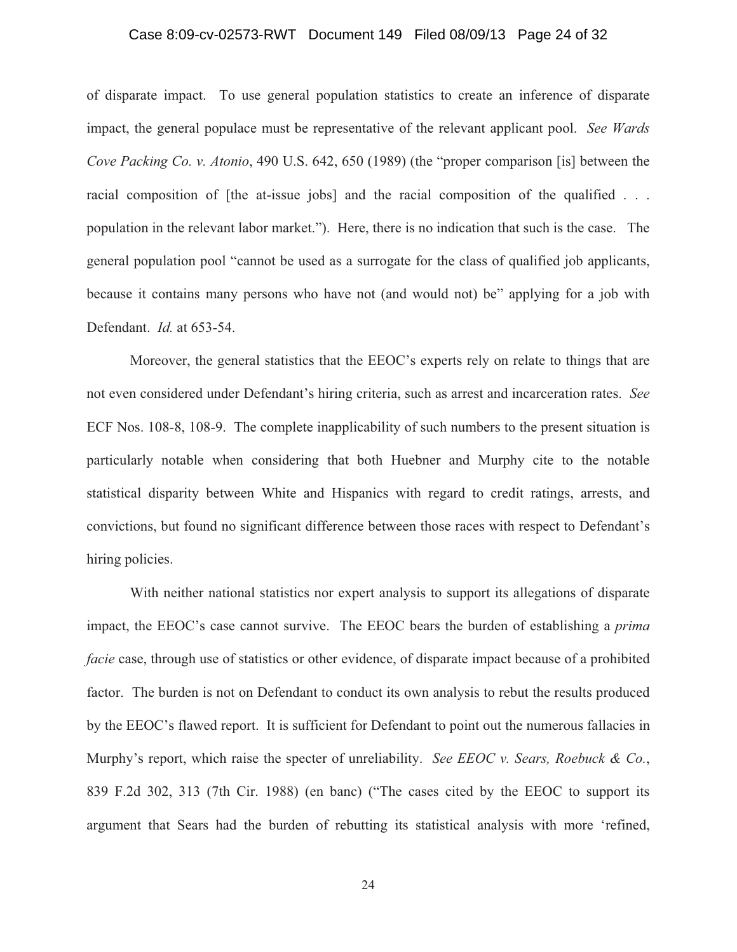### Case 8:09-cv-02573-RWT Document 149 Filed 08/09/13 Page 24 of 32

of disparate impact. To use general population statistics to create an inference of disparate impact, the general populace must be representative of the relevant applicant pool. *See Wards Cove Packing Co. v. Atonio*, 490 U.S. 642, 650 (1989) (the "proper comparison [is] between the racial composition of [the at-issue jobs] and the racial composition of the qualified . . . population in the relevant labor market."). Here, there is no indication that such is the case. The general population pool "cannot be used as a surrogate for the class of qualified job applicants, because it contains many persons who have not (and would not) be" applying for a job with Defendant. *Id.* at 653-54.

Moreover, the general statistics that the EEOC's experts rely on relate to things that are not even considered under Defendant's hiring criteria, such as arrest and incarceration rates. *See* ECF Nos. 108-8, 108-9. The complete inapplicability of such numbers to the present situation is particularly notable when considering that both Huebner and Murphy cite to the notable statistical disparity between White and Hispanics with regard to credit ratings, arrests, and convictions, but found no significant difference between those races with respect to Defendant's hiring policies.

With neither national statistics nor expert analysis to support its allegations of disparate impact, the EEOC's case cannot survive. The EEOC bears the burden of establishing a *prima facie* case, through use of statistics or other evidence, of disparate impact because of a prohibited factor. The burden is not on Defendant to conduct its own analysis to rebut the results produced by the EEOC's flawed report. It is sufficient for Defendant to point out the numerous fallacies in Murphy's report, which raise the specter of unreliability. *See EEOC v. Sears, Roebuck & Co.*, 839 F.2d 302, 313 (7th Cir. 1988) (en banc) ("The cases cited by the EEOC to support its argument that Sears had the burden of rebutting its statistical analysis with more 'refined,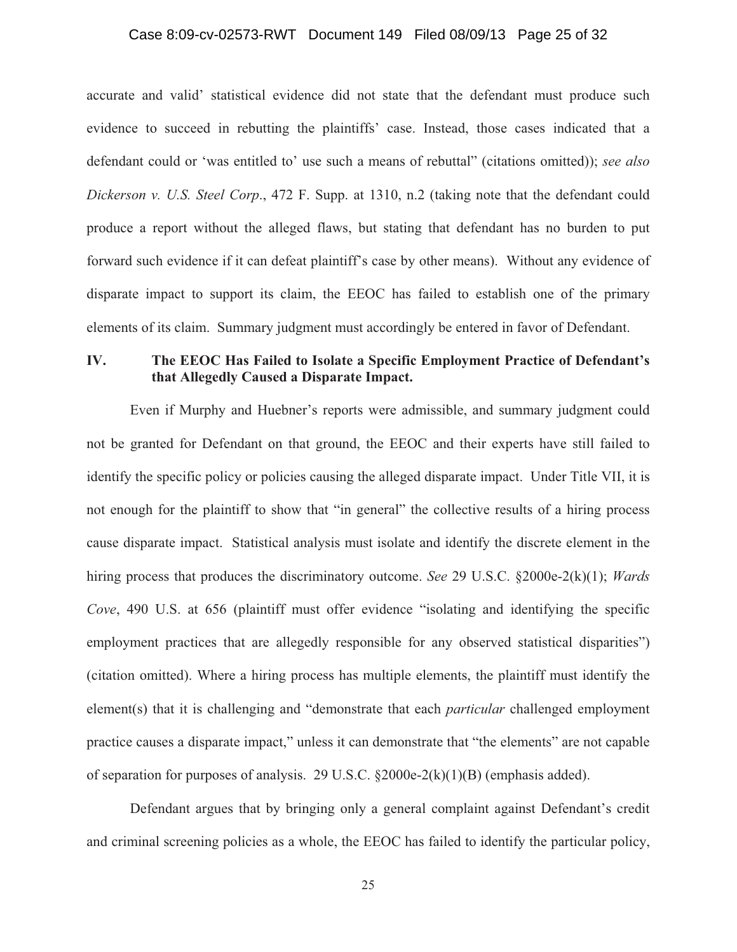## Case 8:09-cv-02573-RWT Document 149 Filed 08/09/13 Page 25 of 32

accurate and valid' statistical evidence did not state that the defendant must produce such evidence to succeed in rebutting the plaintiffs' case. Instead, those cases indicated that a defendant could or 'was entitled to' use such a means of rebuttal" (citations omitted)); *see also Dickerson v. U.S. Steel Corp*., 472 F. Supp. at 1310, n.2 (taking note that the defendant could produce a report without the alleged flaws, but stating that defendant has no burden to put forward such evidence if it can defeat plaintiff's case by other means). Without any evidence of disparate impact to support its claim, the EEOC has failed to establish one of the primary elements of its claim. Summary judgment must accordingly be entered in favor of Defendant.

# **IV. The EEOC Has Failed to Isolate a Specific Employment Practice of Defendant's that Allegedly Caused a Disparate Impact.**

Even if Murphy and Huebner's reports were admissible, and summary judgment could not be granted for Defendant on that ground, the EEOC and their experts have still failed to identify the specific policy or policies causing the alleged disparate impact. Under Title VII, it is not enough for the plaintiff to show that "in general" the collective results of a hiring process cause disparate impact. Statistical analysis must isolate and identify the discrete element in the hiring process that produces the discriminatory outcome. *See* 29 U.S.C. §2000e-2(k)(1); *Wards Cove*, 490 U.S. at 656 (plaintiff must offer evidence "isolating and identifying the specific employment practices that are allegedly responsible for any observed statistical disparities") (citation omitted). Where a hiring process has multiple elements, the plaintiff must identify the element(s) that it is challenging and "demonstrate that each *particular* challenged employment practice causes a disparate impact," unless it can demonstrate that "the elements" are not capable of separation for purposes of analysis. 29 U.S.C. §2000e-2(k)(1)(B) (emphasis added).

 Defendant argues that by bringing only a general complaint against Defendant's credit and criminal screening policies as a whole, the EEOC has failed to identify the particular policy,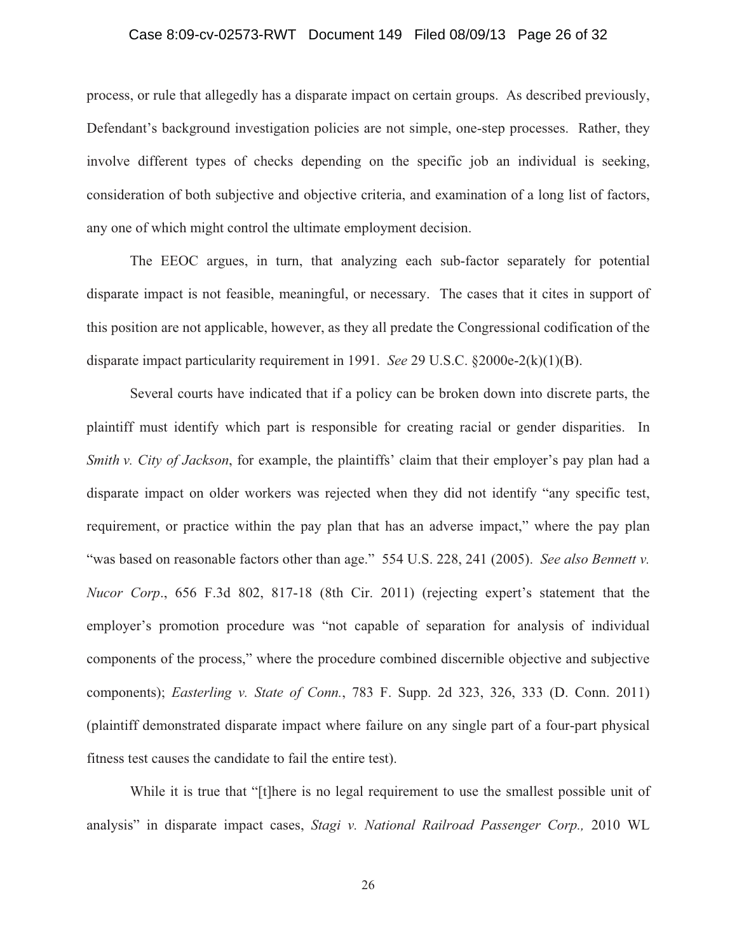## Case 8:09-cv-02573-RWT Document 149 Filed 08/09/13 Page 26 of 32

process, or rule that allegedly has a disparate impact on certain groups. As described previously, Defendant's background investigation policies are not simple, one-step processes. Rather, they involve different types of checks depending on the specific job an individual is seeking, consideration of both subjective and objective criteria, and examination of a long list of factors, any one of which might control the ultimate employment decision.

 The EEOC argues, in turn, that analyzing each sub-factor separately for potential disparate impact is not feasible, meaningful, or necessary. The cases that it cites in support of this position are not applicable, however, as they all predate the Congressional codification of the disparate impact particularity requirement in 1991. *See* 29 U.S.C. §2000e-2(k)(1)(B).

Several courts have indicated that if a policy can be broken down into discrete parts, the plaintiff must identify which part is responsible for creating racial or gender disparities. In *Smith v. City of Jackson*, for example, the plaintiffs' claim that their employer's pay plan had a disparate impact on older workers was rejected when they did not identify "any specific test, requirement, or practice within the pay plan that has an adverse impact," where the pay plan "was based on reasonable factors other than age." 554 U.S. 228, 241 (2005). *See also Bennett v. Nucor Corp*., 656 F.3d 802, 817-18 (8th Cir. 2011) (rejecting expert's statement that the employer's promotion procedure was "not capable of separation for analysis of individual components of the process," where the procedure combined discernible objective and subjective components); *Easterling v. State of Conn.*, 783 F. Supp. 2d 323, 326, 333 (D. Conn. 2011) (plaintiff demonstrated disparate impact where failure on any single part of a four-part physical fitness test causes the candidate to fail the entire test).

While it is true that "[t]here is no legal requirement to use the smallest possible unit of analysis" in disparate impact cases, *Stagi v. National Railroad Passenger Corp.,* 2010 WL

26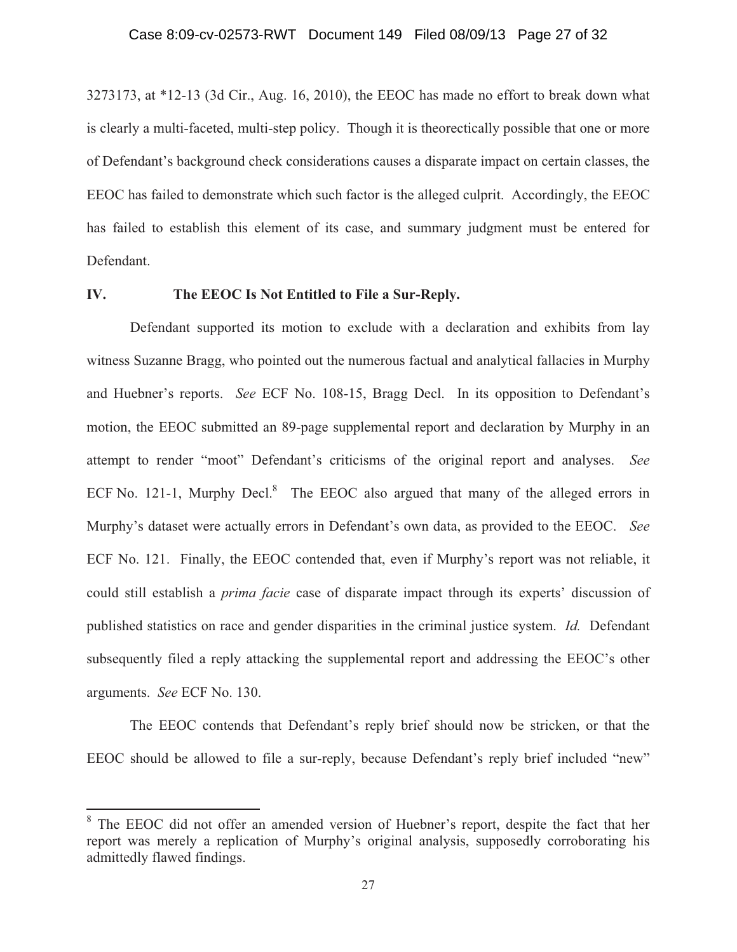## Case 8:09-cv-02573-RWT Document 149 Filed 08/09/13 Page 27 of 32

3273173, at \*12-13 (3d Cir., Aug. 16, 2010), the EEOC has made no effort to break down what is clearly a multi-faceted, multi-step policy. Though it is theorectically possible that one or more of Defendant's background check considerations causes a disparate impact on certain classes, the EEOC has failed to demonstrate which such factor is the alleged culprit. Accordingly, the EEOC has failed to establish this element of its case, and summary judgment must be entered for Defendant.

### **IV. The EEOC Is Not Entitled to File a Sur-Reply.**

Defendant supported its motion to exclude with a declaration and exhibits from lay witness Suzanne Bragg, who pointed out the numerous factual and analytical fallacies in Murphy and Huebner's reports. *See* ECF No. 108-15, Bragg Decl. In its opposition to Defendant's motion, the EEOC submitted an 89-page supplemental report and declaration by Murphy in an attempt to render "moot" Defendant's criticisms of the original report and analyses. *See* ECF No. 121-1, Murphy Decl. $8$  The EEOC also argued that many of the alleged errors in Murphy's dataset were actually errors in Defendant's own data, as provided to the EEOC. *See*  ECF No. 121. Finally, the EEOC contended that, even if Murphy's report was not reliable, it could still establish a *prima facie* case of disparate impact through its experts' discussion of published statistics on race and gender disparities in the criminal justice system. *Id.* Defendant subsequently filed a reply attacking the supplemental report and addressing the EEOC's other arguments. *See* ECF No. 130.

The EEOC contends that Defendant's reply brief should now be stricken, or that the EEOC should be allowed to file a sur-reply, because Defendant's reply brief included "new"

<sup>8</sup> The EEOC did not offer an amended version of Huebner's report, despite the fact that her report was merely a replication of Murphy's original analysis, supposedly corroborating his admittedly flawed findings.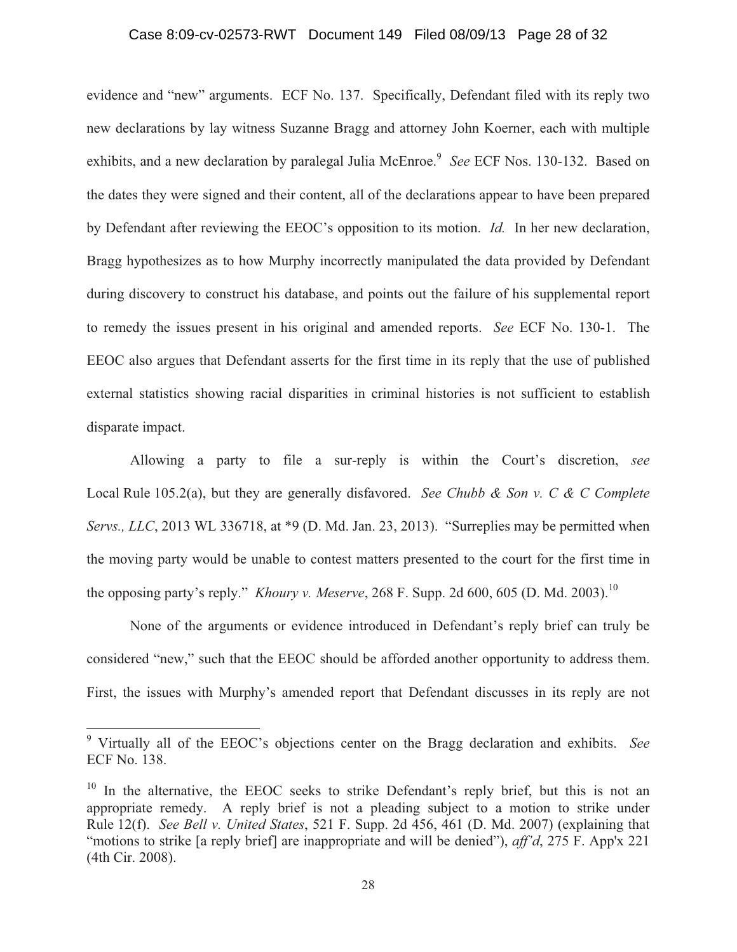## Case 8:09-cv-02573-RWT Document 149 Filed 08/09/13 Page 28 of 32

evidence and "new" arguments. ECF No. 137. Specifically, Defendant filed with its reply two new declarations by lay witness Suzanne Bragg and attorney John Koerner, each with multiple exhibits, and a new declaration by paralegal Julia McEnroe.<sup>9</sup> *See* ECF Nos. 130-132. Based on the dates they were signed and their content, all of the declarations appear to have been prepared by Defendant after reviewing the EEOC's opposition to its motion. *Id.* In her new declaration, Bragg hypothesizes as to how Murphy incorrectly manipulated the data provided by Defendant during discovery to construct his database, and points out the failure of his supplemental report to remedy the issues present in his original and amended reports. *See* ECF No. 130-1. The EEOC also argues that Defendant asserts for the first time in its reply that the use of published external statistics showing racial disparities in criminal histories is not sufficient to establish disparate impact.

Allowing a party to file a sur-reply is within the Court's discretion, *see*  Local Rule 105.2(a), but they are generally disfavored. *See Chubb & Son v. C & C Complete Servs., LLC*, 2013 WL 336718, at \*9 (D. Md. Jan. 23, 2013). "Surreplies may be permitted when the moving party would be unable to contest matters presented to the court for the first time in the opposing party's reply." *Khoury v. Meserve*, 268 F. Supp. 2d 600, 605 (D. Md. 2003).<sup>10</sup>

None of the arguments or evidence introduced in Defendant's reply brief can truly be considered "new," such that the EEOC should be afforded another opportunity to address them. First, the issues with Murphy's amended report that Defendant discusses in its reply are not

<sup>9</sup> Virtually all of the EEOC's objections center on the Bragg declaration and exhibits. *See* ECF No. 138.

 $10$  In the alternative, the EEOC seeks to strike Defendant's reply brief, but this is not an appropriate remedy. A reply brief is not a pleading subject to a motion to strike under Rule 12(f). *See Bell v. United States*, 521 F. Supp. 2d 456, 461 (D. Md. 2007) (explaining that "motions to strike [a reply brief] are inappropriate and will be denied"), *aff'd*, 275 F. App'x 221 (4th Cir. 2008).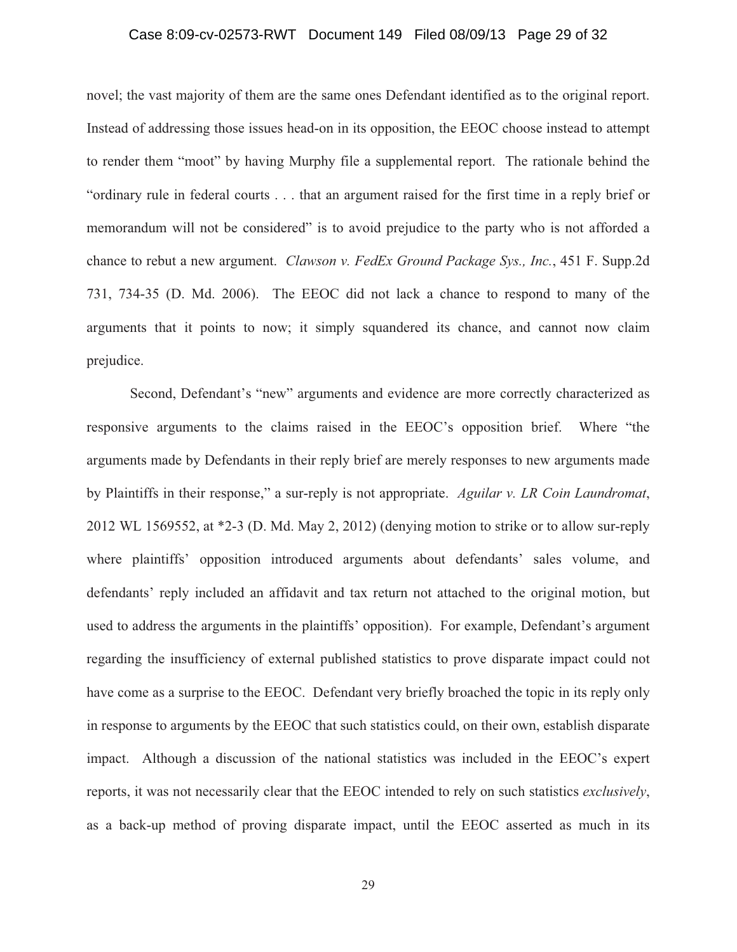### Case 8:09-cv-02573-RWT Document 149 Filed 08/09/13 Page 29 of 32

novel; the vast majority of them are the same ones Defendant identified as to the original report. Instead of addressing those issues head-on in its opposition, the EEOC choose instead to attempt to render them "moot" by having Murphy file a supplemental report. The rationale behind the "ordinary rule in federal courts . . . that an argument raised for the first time in a reply brief or memorandum will not be considered" is to avoid prejudice to the party who is not afforded a chance to rebut a new argument. *Clawson v. FedEx Ground Package Sys., Inc.*, 451 F. Supp.2d 731, 734-35 (D. Md. 2006). The EEOC did not lack a chance to respond to many of the arguments that it points to now; it simply squandered its chance, and cannot now claim prejudice.

Second, Defendant's "new" arguments and evidence are more correctly characterized as responsive arguments to the claims raised in the EEOC's opposition brief. Where "the arguments made by Defendants in their reply brief are merely responses to new arguments made by Plaintiffs in their response," a sur-reply is not appropriate. *Aguilar v. LR Coin Laundromat*, 2012 WL 1569552, at \*2-3 (D. Md. May 2, 2012) (denying motion to strike or to allow sur-reply where plaintiffs' opposition introduced arguments about defendants' sales volume, and defendants' reply included an affidavit and tax return not attached to the original motion, but used to address the arguments in the plaintiffs' opposition). For example, Defendant's argument regarding the insufficiency of external published statistics to prove disparate impact could not have come as a surprise to the EEOC. Defendant very briefly broached the topic in its reply only in response to arguments by the EEOC that such statistics could, on their own, establish disparate impact. Although a discussion of the national statistics was included in the EEOC's expert reports, it was not necessarily clear that the EEOC intended to rely on such statistics *exclusively*, as a back-up method of proving disparate impact, until the EEOC asserted as much in its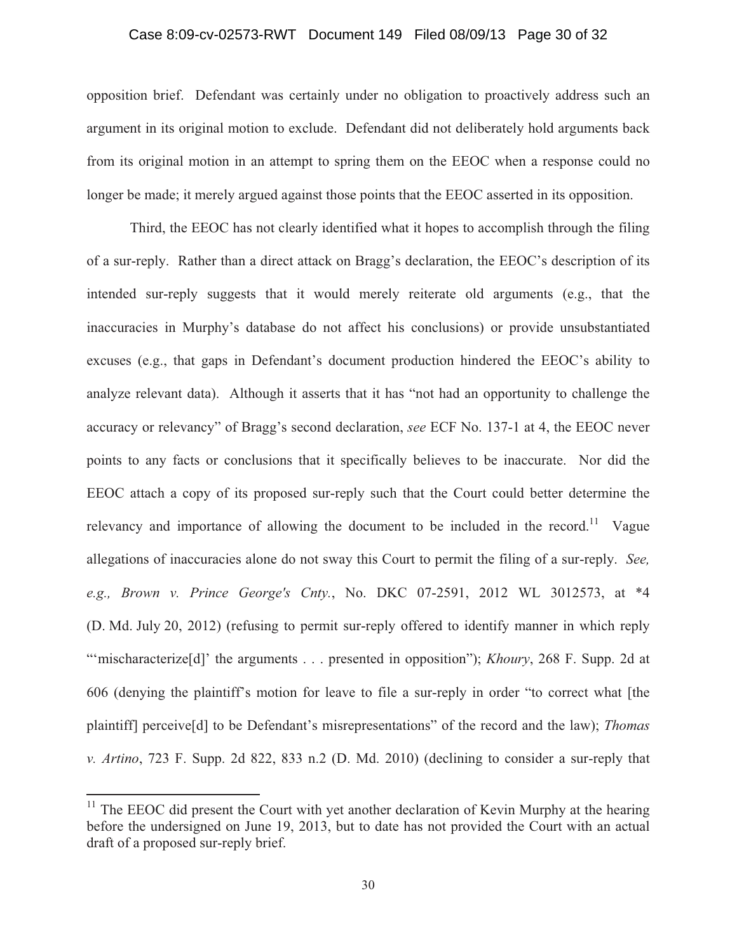## Case 8:09-cv-02573-RWT Document 149 Filed 08/09/13 Page 30 of 32

opposition brief. Defendant was certainly under no obligation to proactively address such an argument in its original motion to exclude. Defendant did not deliberately hold arguments back from its original motion in an attempt to spring them on the EEOC when a response could no longer be made; it merely argued against those points that the EEOC asserted in its opposition.

Third, the EEOC has not clearly identified what it hopes to accomplish through the filing of a sur-reply. Rather than a direct attack on Bragg's declaration, the EEOC's description of its intended sur-reply suggests that it would merely reiterate old arguments (e.g., that the inaccuracies in Murphy's database do not affect his conclusions) or provide unsubstantiated excuses (e.g., that gaps in Defendant's document production hindered the EEOC's ability to analyze relevant data). Although it asserts that it has "not had an opportunity to challenge the accuracy or relevancy" of Bragg's second declaration, *see* ECF No. 137-1 at 4, the EEOC never points to any facts or conclusions that it specifically believes to be inaccurate. Nor did the EEOC attach a copy of its proposed sur-reply such that the Court could better determine the relevancy and importance of allowing the document to be included in the record.<sup>11</sup> Vague allegations of inaccuracies alone do not sway this Court to permit the filing of a sur-reply. *See, e.g., Brown v. Prince George's Cnty.*, No. DKC 07-2591, 2012 WL 3012573, at \*4 (D. Md. July 20, 2012) (refusing to permit sur-reply offered to identify manner in which reply "'mischaracterize<sup>[d]</sup>' the arguments . . . presented in opposition"); *Khoury*, 268 F. Supp. 2d at 606 (denying the plaintiff's motion for leave to file a sur-reply in order "to correct what [the plaintiff] perceive[d] to be Defendant's misrepresentations" of the record and the law); *Thomas v. Artino*, 723 F. Supp. 2d 822, 833 n.2 (D. Md. 2010) (declining to consider a sur-reply that

 $11$  The EEOC did present the Court with yet another declaration of Kevin Murphy at the hearing before the undersigned on June 19, 2013, but to date has not provided the Court with an actual draft of a proposed sur-reply brief.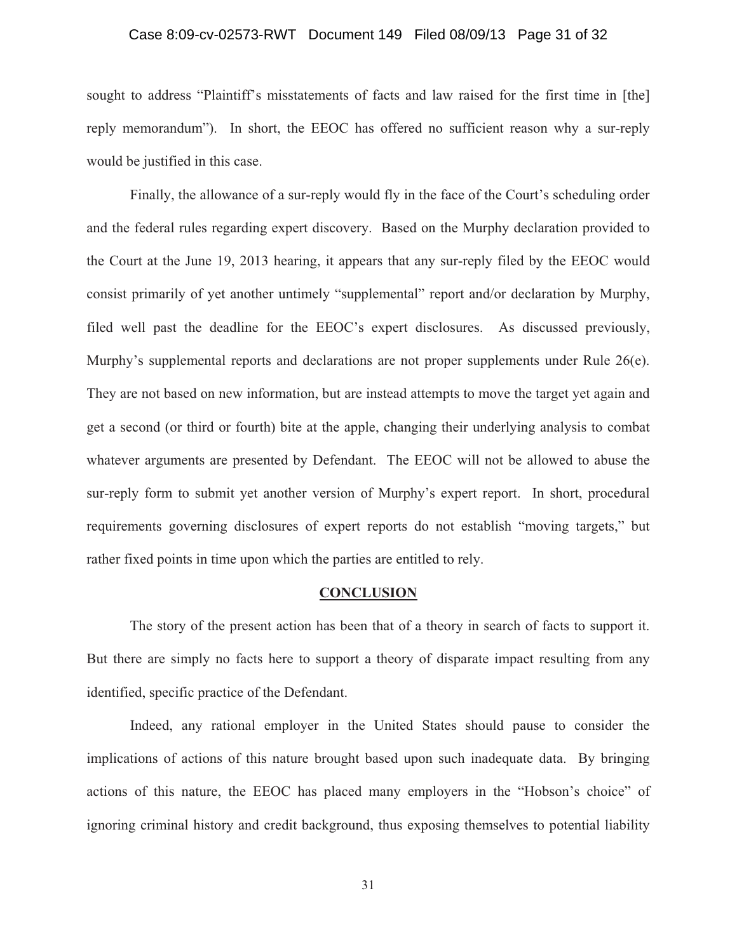### Case 8:09-cv-02573-RWT Document 149 Filed 08/09/13 Page 31 of 32

sought to address "Plaintiff's misstatements of facts and law raised for the first time in [the] reply memorandum"). In short, the EEOC has offered no sufficient reason why a sur-reply would be justified in this case.

Finally, the allowance of a sur-reply would fly in the face of the Court's scheduling order and the federal rules regarding expert discovery. Based on the Murphy declaration provided to the Court at the June 19, 2013 hearing, it appears that any sur-reply filed by the EEOC would consist primarily of yet another untimely "supplemental" report and/or declaration by Murphy, filed well past the deadline for the EEOC's expert disclosures. As discussed previously, Murphy's supplemental reports and declarations are not proper supplements under Rule 26(e). They are not based on new information, but are instead attempts to move the target yet again and get a second (or third or fourth) bite at the apple, changing their underlying analysis to combat whatever arguments are presented by Defendant. The EEOC will not be allowed to abuse the sur-reply form to submit yet another version of Murphy's expert report. In short, procedural requirements governing disclosures of expert reports do not establish "moving targets," but rather fixed points in time upon which the parties are entitled to rely.

#### **CONCLUSION**

 The story of the present action has been that of a theory in search of facts to support it. But there are simply no facts here to support a theory of disparate impact resulting from any identified, specific practice of the Defendant.

 Indeed, any rational employer in the United States should pause to consider the implications of actions of this nature brought based upon such inadequate data. By bringing actions of this nature, the EEOC has placed many employers in the "Hobson's choice" of ignoring criminal history and credit background, thus exposing themselves to potential liability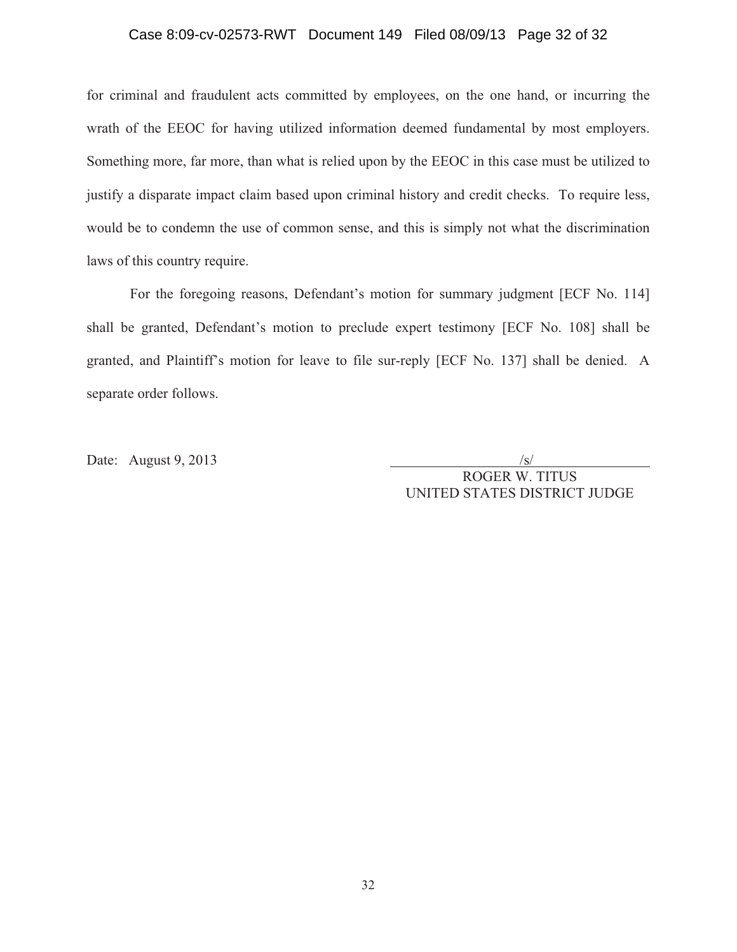## Case 8:09-cv-02573-RWT Document 149 Filed 08/09/13 Page 32 of 32

for criminal and fraudulent acts committed by employees, on the one hand, or incurring the wrath of the EEOC for having utilized information deemed fundamental by most employers. Something more, far more, than what is relied upon by the EEOC in this case must be utilized to justify a disparate impact claim based upon criminal history and credit checks. To require less, would be to condemn the use of common sense, and this is simply not what the discrimination laws of this country require.

 For the foregoing reasons, Defendant's motion for summary judgment [ECF No. 114] shall be granted, Defendant's motion to preclude expert testimony [ECF No. 108] shall be granted, and Plaintiff's motion for leave to file sur-reply [ECF No. 137] shall be denied. A separate order follows.

Date: August 9, 2013

ROGER W. TITUS UNITED STATES DISTRICT JUDGE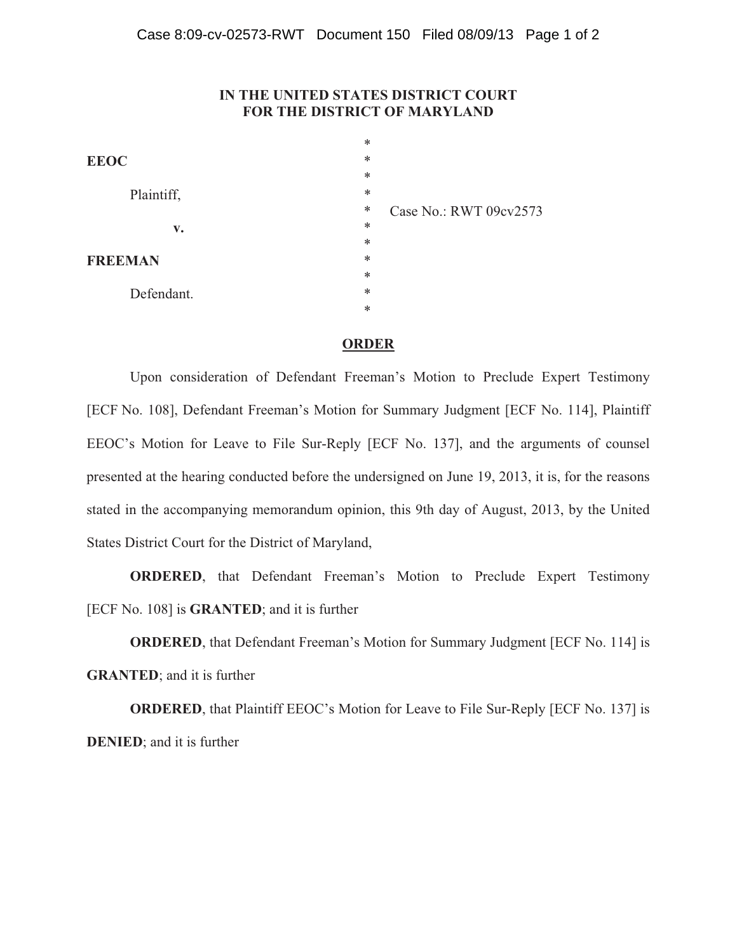## **IN THE UNITED STATES DISTRICT COURT FOR THE DISTRICT OF MARYLAND**

|                        | $\ast$ |                        |
|------------------------|--------|------------------------|
| <b>EEOC</b>            | $\ast$ |                        |
|                        | $\ast$ |                        |
| Plaintiff,             | $\ast$ |                        |
|                        | ∗      | Case No.: RWT 09cv2573 |
| $\mathbf{v}_{\bullet}$ | $\ast$ |                        |
|                        | $\ast$ |                        |
| <b>FREEMAN</b>         | ∗      |                        |
|                        | $\ast$ |                        |
| Defendant.             | ∗      |                        |
|                        | $\ast$ |                        |
|                        |        |                        |

### **ORDER**

Upon consideration of Defendant Freeman's Motion to Preclude Expert Testimony [ECF No. 108], Defendant Freeman's Motion for Summary Judgment [ECF No. 114], Plaintiff EEOC's Motion for Leave to File Sur-Reply [ECF No. 137], and the arguments of counsel presented at the hearing conducted before the undersigned on June 19, 2013, it is, for the reasons stated in the accompanying memorandum opinion, this 9th day of August, 2013, by the United States District Court for the District of Maryland,

**ORDERED**, that Defendant Freeman's Motion to Preclude Expert Testimony [ECF No. 108] is **GRANTED**; and it is further

**ORDERED**, that Defendant Freeman's Motion for Summary Judgment [ECF No. 114] is

**GRANTED**; and it is further

**ORDERED**, that Plaintiff EEOC's Motion for Leave to File Sur-Reply [ECF No. 137] is **DENIED**; and it is further